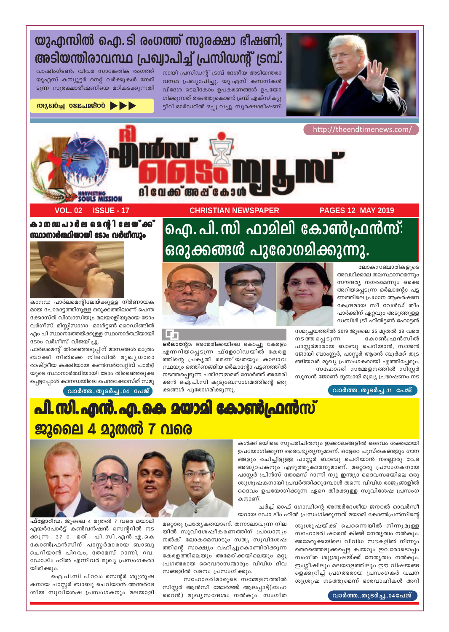

## യുഎസിൽ ഐ.ടി രംഗത്ത് സുരക്ഷാ ഭീഷണി; അടിയന്തിരാവസ്ഥ പ്രഖ്വാപിച്ച് പ്രസിഡന്റ് ട്രമ്പ്.

നായി പ്രസിഡന്റ് ട്രമ്പ് ദേശീയ അടിയന്തരാ വസ്ഥ പ്രഖ്യാപിച്ചു. യു.എസ് കമ്പനികൾ വിദേശ ടെലികോം ഉപകരണങ്ങൾ ഉപയോ ഗിക്കുന്നത് തടഞ്ഞുകൊണ്ട് ട്രമ്പ് എക്സിക്യൂ ട്ടീവ് ഓർഡറിൽ ഒപ്പു വച്ചു. സുരക്ഷാഭീഷണി

വാഷിംഗ്ടൺ: വിവര സാങ്കേതിക രംഗത്ത് യുഎസ് കമ്പ്യൂട്ടർ നെറ്റ് വർക്കുകൾ നേരി ടുന്ന സുരക്ഷാഭീഷണിയെ മറികടക്കുന്നതി

**OUTSIQUE OSETISSIQUE AND SEA** 

http://theendtimenews.com

ദിവേക്ക് അപ്കോ

**PAGES 12 MAY 2019** 

**CHRISTIAN NEWSPAPER** 

ഒർലാന്റോ: അമേരിക്കയിലെ കൊച്ചു കേരളം

എന്നറിയപ്പെടുന്ന ഫ്ളോറിഡയിൽ കേരള

ത്തിന്റെ പ്രകൃതി രമണീയതയും കാലാവ

സ്ഥയും ഒത്തിണങ്ങിയ ഒർലാന്റോ പട്ടണത്തിൽ

നടത്തപ്പെടുന്ന പതിനേഴാമത് നോർത്ത് അമേരി

ക്കൻ ഐ.പി.സി കുടുംബസംഗമത്തിന്റെ ഒരു

ക്കങ്ങൾ പുരോഗമിക്കുന്നു.

കാനഡപാർല മെന്റിലേ**യ്ക്ക്** സ്ഥാനാർത്ഥിയായി ടോം വർഗീസും

**ISSUE - 17** 



**VOL. 02** 

കാനഡ പാർലമെന്റിലേയ്ക്കുള്ള നിർണായക മായ പോരാട്ടത്തിനുള്ള ഒരുക്കത്തിലാണ് പെന്ത ക്കോസ്ത് വിശ്വാസിയും മലയാളിയുമായ ടോം വർഗീസ്. മിസ്സിസാഗാ- മാൾട്ടൺ റൈഡിങ്ങിൽ എം പി സ്ഥാനത്തേയ്ക്കുള്ള സ്ഥാനാർത്ഥിയായി ടോം വർഗീസ് വിജയിച്ചു.

പാർലമെന്റ് തിരഞ്ഞെടുപ്പിന് മാസങ്ങൾ മാത്രം ബാക്കി നിൽക്കെ നിലവിൽ മുഖൃധാരാ രാഷ്ട്രീയ കക്ഷിയായ കൺസർവേറ്റിവ് പാർട്ടി യുടെ സ്ഥാനാർത്ഥിയായി ടോം തിരഞ്ഞെടുക്ക പ്പെട്ടപ്പോൾ കാനഡയിലെ പെന്തക്കോസ്ത് സമൂ

വാർത്ത..തുടർച്ച..04 പേജ്

# ഐ. പി. സി ഫാമിലി കോൺഫ്രൻസ്: ഒരുക്കങ്ങൾ പുരോഗമിക്കുന്നു.

ലോകസഞ്ചാരികളുടെ അവധിക്കാല തലസ്ഥാനമെന്നും സൗന്ദര്യ നഗരമെന്നും ഒക്കെ അറിയപ്പെടുന്ന ഒർലാന്റോ പട്ട ണത്തിലെ പ്രധാന ആകർഷണ കേന്ദ്രമായ സീ വേൾഡ് തീം പാർക്കിന് ഏറ്റവും അടുത്തുള്ള ഡബിൾ ട്രീ ഹിൽട്ടൺ ഹോട്ടൽ



സഹോദരി സമ്മേളനത്തിൽ സിസ്റ്റർ സൂസൻ ജോൺ ദുബായ് മുഖ്യ പ്രഭാഷണം നട

#### വാർത്ത..തുടർച്ച..11 പേജ്



lnj

കൾക്കിടയിലെ സുപരിചിതനും ഇക്കാലങ്ങളിൽ ദൈവം ശക്തമായി ഉപയോഗിക്കുന്ന ദൈവഭൃത്യനുമാണ്. ഒട്ടേറെ പുസ്തകങ്ങളും ഗാന ങ്ങളും രചിച്ചിട്ടുള്ള പാസ്റ്റർ ബാബു ചെറിയാൻ നല്ലൊരു വേദ അദ്ധ്യാപകനും എഴുത്തുകാരനുമാണ്. മറ്റൊരു പ്രസംഗകനായ പാസ്റ്റർ പ്രിൻസ് തോമസ് റാന്നി ന്യൂ ഇന്ത്യാ ദൈവസഭയിലെ ഒരു ശുശ്രൂഷകനായി പ്രവർത്തിക്കുമ്പോൾ തന്നെ വിവിധ രാജ്യങ്ങളിൽ ദൈവം ഉപയോഗിക്കുന്ന ഏറെ തിരക്കുള്ള സുവിശേഷ പ്രസംഗ കനാണ്.

ചർച്ച് ഓഫ് ഗോഡിന്റെ അന്തർദേശീയ ജനറൽ ഓവർസീ യറായ ഡോ ടീം ഹിൽ പ്രസംഗിക്കുന്നത് മയാമി കോൺപ്രൻസിന്റെ

മറ്റൊരു പ്രത്യേകതയാണ്. തന്നാലാവുന്ന നില ശുശ്രുഷയ്ക്ക് ചെന്നൈയിൽ നിന്നുമുള്ള സഹോദരി ഷാരൻ കിങ്ങ് നേതൃത്വം നൽകും. അമേരുക്കയിലെ വിവിധ സഭകളിൽ നിന്നും തെരഞ്ഞെടുക്കപ്പെട്ട ക്വയറും ഇവരോടൊപ്പം സംഗീത ശുശ്രൂഷയ്ക്ക് നേതൃത്വം നൽകും. ഇംഗ്ലീഷിലും മലയാളത്തിലും ഈ വിഷയങ്ങ ളെക്കുറിച്ച് പ്രഗത്ഭരായ പ്രസംഗകർ വചന ശുശ്രൂഷ നടത്തുമെന്ന് ഭാരവാഹികൾ അറി

വാർത്ത..തുടർച്ച..04പേജ്

യിൽ സുവിശേഷീകരണത്തിന് പ്രാധാന്യം നൽകി ലോകമെമ്പാടും സത്യ സുവിശേഷ ത്തിന്റെ സാക്ഷ്യം വഹിച്ചുകൊണ്ടിരിക്കുന്ന കേരളത്തിലെയും അമേരിക്കയിലെയും മറ്റു പ്രഗത്ഭരായ ദൈവദാസന്മാരും വിവിധ ദിവ സങ്ങളിൽ വടനം പ്രസംഗിക്കും.

സഹോദരിമാരുടെ സമ്മേളനത്തിൽ സിസ്റ്റർ ആൻസി ജോർജ്ജ് ആലപ്പാട്ട്(ബഹ റൈൻ) മുഖ്യസന്ദേശം നൽകും. സംഗീത



ഫ്ളോറിഡ: ജൂലൈ 4 മുതൽ 7 വരെ മയാമി എയർപോർട്ട് കൺവൻഷൻ സെന്ററിൽ നട ക്കുന്ന 37-ാ മത് പി.സി.എൻ.എ.കെ കോൺഫ്രൻസിന് പാസ്റ്റർമാരായ ബാബു ചെറിയാൻ പിറവം, തോമസ് റാന്നി, റവ. ഡോ.ടിം ഹിൽ എന്നിവർ മുഖ്യ പ്രസംഗകരാ യിരിക്കും.

ഐ.പി.സി പിറവം സെന്റർ ശുശ്രൂഷ കനായ പാസ്റ്റർ ബാബു ചെറിയാൻ അന്തർദേ ശീയ സുവിശേഷ പ്രസംഗകനും മലയാളി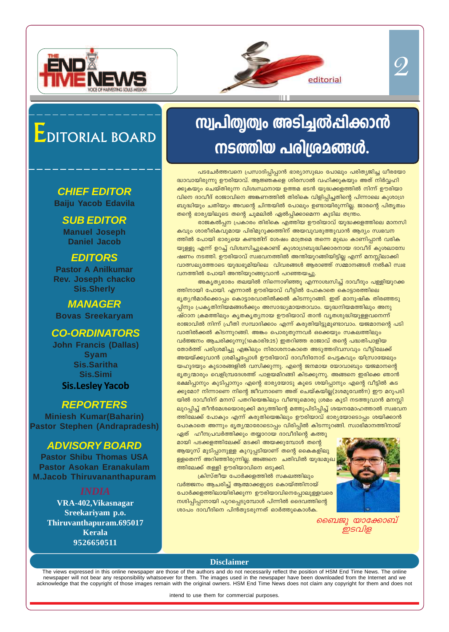



# <u>സ്വപിതൃത്വം അടിച്ചൽപ്പിക്കാൻ</u> <u>നടത്തിയ പരിശ്രമങ്ങൾ.</u>

പടചേർത്തവനെ പ്രസാദിപ്പിപ്പാൻ ഭാര്യാസുഖം പോലും പരിത്യജിച്ച ധീരയോ ുധാവായിരുന്നു ഊരിയാവ്. ആജ്ഞകളെ ശിരസാൽ വഹിക്കുകയും അത് നിർവ്വഹി ക്കുകയും ചെയ്തിരുന്ന വിശ്വസ്ഥനായ ഉത്തമ ഭടൻ യുദ്ധക്കളത്തിൽ നിന്ന് ഊരിയാ വിനെ ദാവീദ് രാജാവിനെ അങ്കണത്തിൽ തിരികെ വിളിപ്പിച്ചതിന്റെ പിന്നാലെ കുശാഗ്ര ്ബുദ്ധിയും ചതിയും അവന്റെ ചിന്തയിൽ പോലും ഉണ്ടായിരുന്നില്ല. ജാരന്റെ പിതൃത്വം തന്റെ ഭാര്യയിലൂടെ തന്റെ ചുമലിൽ ഏൽപ്പിക്കാമെന്ന കുടില തന്ത്രം.

രാജകൽപ്പന പ്രകാരം തിരികെ എത്തിയ ഊരിയാവ് യുദ്ധക്കളത്തിലെ മാനസി കവും ശാരീരികവുമായ പിരിമുറുക്കത്തിന് അയവുവരുത്തുവാൻ ആദ്യം സ്വഭവന ത്തിൽ പോയി ഭാര്യയെ കണ്ടതിന് ശേഷം മാത്രമെ തന്നെ മുഖം കാണിപ്പാൻ വരിക യുള്ളൂ എന്ന് ഉറച്ച് വിശ്വസിച്ചുകൊണ്ട് കുശാഗ്രബുദ്ധിക്കാരനായ ദാവീദ് കുശലാന്വേ <u>ഷണം നടത്തി. ഊരിയാവ് സ്വഭവനത്തിൽ അന്തിയുറങ്ങിയിട്ടില്ല എന്ന് മനസ്സിലാക്കി</u> വാത്സല്യത്തോടെ യുദ്ധഭൂമിയിലെ വിവരങ്ങൾ ആരാഞ്ഞ് സമ്മാനങ്ങൾ നൽകി സ്വഭ വനത്തിൽ പോയി അന്തിയുറങ്ങുവാൻ പറഞ്ഞയച്ചു.

<mark>അകൃതൃഭാരം തലയിൽ നിന്നൊഴിഞ്ഞു എന്നാശ്വസിച്ച് ദാവീദും പള്ളിയുറക്ക</mark> ത്തിനായി പോയി. എന്നാൽ ഊരിയാവ് വീട്ടിൽ പോകാതെ കൊട്ടാരത്തിലെ  $\epsilon$ ൃതൃൻമാർക്കൊപ്പം കൊട്ടാരവാതിൽക്കൽ കിടന്നുറങ്ങി. ഇത് മാനുഷിക തിരഞ്ഞടു പ്പിനും പ്രകൃതിനിയമങ്ങൾക്കും അസാദ്ധ്യമായതാവാം. യുദ്ധനിയമത്തിലും അനു  $\alpha$ ษ്ഠാന ക്രമത്തിലും കൃതകൃതൃനായ ഊരിയാവ് താൻ വൃതശുദ്ധിയുള്ളവനെന്ന് രാജാവിൽ നിന്ന് പ്രീതി സമ്പാദിക്കാം എന്ന് കരുതിയിട്ടുമുണ്ടാവാം. യജമാനന്റെ പടി വാതിൽക്കൽ കിടന്നുറങ്ങി. അങ്കം പൊരുതുന്നവർ ഒക്കെയും സകലത്തിലും  $\Omega$ ർജ്ജനം ആചരിക്കുന്നു(1കൊരി9:25) ഇതറിഞ്ഞ രാജാവ് തന്റെ പദ്ധതിപാളിയ തോർത്ത് പരിശ്രമിച്ചു എങ്കിലും നിരാശനാകാതെ അടുത്തദിവസവും വീട്ടിലേക്ക് അയയ്ക്കുവാൻ ശ്രമിച്ചപ്പോൾ ഊരിയാവ് ദാവീദിനോട് പെട്ടകവും യിസ്രായേലും <mark>യഹൂദയും കൂടാരങ്ങളിൽ വസിക്കുന്നു. എന്റെ ജനമായ യോവാബും യജമാനന്റെ</mark>  $\epsilon$ ്യതൃന്മാരും വെളിമ്പ്രദേശത്ത് പാളയമിറങ്ങി കിടക്കുന്നു. അങ്ങനെ ഇരിക്കെ ഞാൻ ്ടക്ഷിപ്പാനും കുടിപ്പാനും എന്റെ ഭാര്യയോടു കൂടെ ശയിപ്പാനും എന്റെ വീട്ടിൽ കട ക്കുമോ? നിന്നാണെ നിന്റെ ജീവനാണെ അത് ചെയ്കയില്ല(2ശമുവേൽ11) ഈ മറുപടി യിൽ ദാവീദിന് മനസ് പതറിയെങ്കിലും വീണ്ടുമൊരു ശ്രമം കൂടി നടത്തുവാൻ മനസ്സി ലുറപ്പിച്ച് തീൻമേശയൊരുക്കി മദ്യത്തിന്റെ മത്തുപിടിപ്പിച്ച് ശയനമോഹത്താൽ സ്വഭവന ത്തിലേക്ക് പോകും എന്ന് കരുതിയെങ്കിലും ഊരിയാവ് ഭാര്യയോടൊപ്പം ശയിക്കാൻ പോകാതെ അന്നും ഭൃതൃന്മാരോടൊപ്പം വിരിപ്പിൽ കിടന്നുറങ്ങി. സ്വാഭിമാനത്തിനായ്

ഏത് ഹീനപ്രവർത്തിക്കും തയ്യാറായ ദാവീദിന്റെ കത്തു മായി പടക്കളത്തിലേക്ക് മടക്കി അയക്കുമ്പോൾ തന്റെ ആയുസ് മുടിപ്പാനുള്ള കുറുപ്പടിയാണ് തന്റെ കൈകളിലു ള്ളതെന്ന് അറിഞ്ഞിരുന്നില്ല. അങ്ങനെ ചതിവിൽ യുദ്ധമു**ഖ** ്ത്തിലേക്ക് തള്ളി ഊരിയാവിനെ ഒടുക്<u>കി.</u>

(കിസ്തീയ പോർക്കളത്തിൽ സകലത്തിലു<u>ം</u> വർജ്ജനം ആചരിച്ച് ആത്മാക്കളുടെ കൊയ്ത്തിനായ്  $\epsilon$ പാർക്കളത്തിലായിരിക്കുന്ന ഊരിയാവിനെപ്പോലുള്ളവരെ  $\overline{m}$ ശിപ്പിപ്പാനായി പുറപ്പെടുമ്പോൾ പിന്നിൽ ദൈവത്തിന്റെ <u>ശാപം ദാവീദിനെ പിൻതുടരുന്നത് ഓർത്തുകൊൾക.</u>



 $\mathcal{Q}% _{M_{1},M_{2}}^{\alpha,\beta}(\varepsilon)$ 

*ബൈജു യാക്കോബ് ഇടവിള* 

# EDITORIAL BOARD

## **CHIEF EDITOR**

**Baiju Yacob Edavila**

#### **SUB EDITOR Manuel Joseph Daniel Jacob**

#### **EDITORS**

**Pastor A Anilkumar Rev. Joseph chacko Sis.Sherly**

**MANAGER Bovas Sreekaryam**

#### **CO-ORDINATORS**

**John Francis (Dallas) Syam Sis.Saritha Sis.Simi Sis.Lesley Yacob**

#### **REPORTERS**

**Miniesh Kumar(Baharin) Pastor Stephen (Andrapradesh)**

#### **ADVISORY BOARD**

**Pastor Shibu Thomas USA Pastor Asokan Eranakulam M.Jacob Thiruvananthapuram**

**VRA-402,Vikasnagar Sreekariyam p.o. Thiruvanthapuram.695017 Kerala 9526650511**

**Disclaimer**

The views expressed in this online newspaper are those of the authors and do not necessarily reflect the position of HSM End Time News. The online newspaper will not bear any responsibility whatsoever for them. The images used in the newspaper have been downloaded from the Internet and we acknowledge that the copyright of those images remain with the original owners. HSM End Time News does not claim any copyright for them and does not

intend to use them for commercial purposes.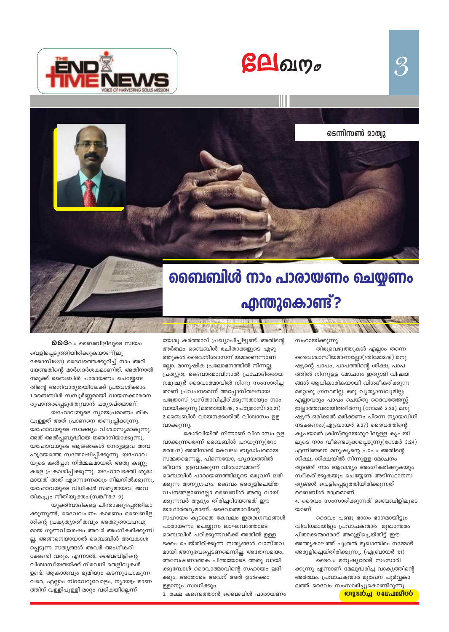



ണിെസൺ മാത്വു

 $\mathcal{S}$ 

# ബൈബിൾ നാം പാരായണം ചെയ്യണം **എന്തുകൊണ്ട്?**

 $0.60$ ദിവം ബൈബിളിലൂടെ സ്വയം

വെളിപ്പെടുത്തിയിരിക്കുകയാണ്(ലൂ ക്കോസ്16:31) ദൈവത്തെക്കുറിച്ച് നാം അറി യേണ്ടതിന്റെ മാർഗദർശകമാണിത്. അതിനാൽ നമുക്ക് ബൈബിൾ പാരായണം ചെയ്യേണ്ട തിന്റെ അനിവാര്യതയിലേക്ക് പ്രവേശിക്കാം. 1.ബൈബിൾ സമ്പൂർണ്ണമായി വായനക്കാരനെ രൂപാന്തരപ്പെടുത്തുവാൻ പര്യാപ്തമാണ്.

യഹോവയുടെ ന്യായപ്രമാണം തിക വുള്ളത് അത് പ്രാണനെ തണുപ്പിക്കുന്നു. യഹോവയുടെ സാക്ഷ്യം വിശ്വാസ്യമാകുന്നു. അത് അൽപ്പബുദ്ധിയെ ജ്ഞാനിയാക്കുന്നു. യഹോവയുടെ ആജ്ഞകൾ നേരുള്ളവ അവ ഹൃദയത്തെ സന്തോഷിപ്പിക്കുന്നു. യഹോവ യുടെ കൽപ്പന നിർമ്മലമായത്: അതു കണ്ണു കളെ പ്രകാശിപ്പിക്കുന്നു. യഹോവഭക്തി ശുദ്ധ മായത് അത് എന്നെന്നേക്കും നിലനിൽക്കുന്നു. യഹോവയുടെ വിധികൾ സത്യമായവ; അവ തികച്ചും നീതിയുക്തം.(സങ്കീ19:7-9)

യുക്തിവാദികളെ ചിന്താക്കുഴപ്പത്തിലാ ക്കുന്നുണ്ട്, ദൈവവചനം കാരണം ബൈബിള ശിന്റെ പ്രകൃത്യാതീതവും അത്ഭുതാവഹവു മായ ഗുണവിശേഷം അവർ അംഗീകരിക്കുന്നി ല്ല. അങ്ങനെയായാൽ ബൈബിൾ അവകാശ പ്പെടുന്ന സത്യങ്ങൾ അവർ അംഗീകരി ക്കേണ്ടി വരും. എന്നാൽ, ബൈബിളിന്റെ വിശ്വാസീയതയ്ക്ക് നിരവധി തെളിവുകൾ ഉണ്ട്. ആകാശവും ഭൂമിയും കടന്നുപോകുന്ന വരെ, എല്ലാം നിറവേറുവോളം, ന്യായപ്രമാണ ത്തിന് വള്ളിപുള്ളി മാറ്റം വരികയില്ലെന്ന്

യേശു കർത്താവ് പ്രഖ്യാപിച്ചിട്ടുണ്ട്. അതിന്റെ അർത്ഥം ബൈബിൾ രചിതാക്കളുടെ എഴു ത്തുകൾ ദൈവനിശ്വാസനീയമാണെന്നാണ ല്ലോ. മാനുഷിക പ്രലോഭനത്തിൽ നിന്നല്ല. പ്രത്യുത, ദൈവാത്മാവിനാൽ പ്രചോദിതരായ നമുഷ്യർ ദൈവാത്മാവിൽ നിന്നു സംസാരിച്ച താണ് പ്രവചനമെന്ന് അപ്പോസ്തലനായ പത്രോസ് പ്രസ്താവിച്ചിരിക്കുന്നതായും നാം വായിക്കുന്നു.(മത്തായി5:18, 2പത്രോസ്1:20,21) 2.ബൈബിൾ വായനക്കാരിൽ വിശ്വാസം ഉള വാക്കുന്നു.

临温度

കേൾവിയിൽ നിന്നാണ് വിശ്വാസം ഉള വാക്കുന്നതെന്ന് ബൈബിൾ പറയുന്നു(റോ മർ10:17) അതിനാൽ കേവലം ബുദ്ധിപരമായ സമ്മതമെന്നല്ല, പിന്നെയോ, ഹൃദയത്തിൽ ജീവൻ ഉളവാക്കുന്ന വിശ്വാസമാണ് ബൈബിൾ പാരായണത്തിലൂടെ ഒരുവന് ലഭി ക്കുന്ന അനുഗ്രഹം. ദൈവം അരുളിചെയ്ത വചനങ്ങളാണല്ലോ ബൈബിൾ അതു വായി ക്കുന്നവർ ആദ്യം തിരിച്ചറിയേണ്ടത് ഈ യാഥാർത്ഥ്യമാണ്. ദൈവാത്മാവിന്റെ സഹായം കൂടാതെ കേവലം ഇതരഗ്രന്ഥങ്ങൾ പാരായണം ചെയ്യുന്ന ലാഘവത്തോടെ ബൈബിൾ പഠിക്കുന്നവർക്ക് അതിൽ ഉള്ള ടക്കം ചെയ്തിരിക്കുന്ന സത്യങ്ങൾ വാസ്തവ മായി അനുഭവപ്പെടണമെന്നില്ല. അതേസമയം, അന്വേഷണാത്മക ചിന്തയോടെ അതു വായി ക്കുമ്പോൾ ദൈവാത്മാവിന്റെ സഹായം ലഭി ക്കും. അതോടെ അവന് അത് ഉൾക്കൊ ള്ളാനും സാധിക്കും.

3. രക്ഷ കണ്ടെത്താൻ ബൈബിൾ പാരായണം

സഹായിക്കുന്നു.

തിരുവെഴുത്തുകൾ എല്ലാം തന്നെ ദൈവശ്വാസീയമാണല്ലോ(1തിമോ3:16) മനു ഷ്യന്റെ പാപം, പാപത്തിന്റെ ശിക്ഷ, പാപ ത്തിൽ നിന്നുള്ള മോചനം ഇത്യാദി വിഷയ ങ്ങൾ ആധികാരികയായി വിശദീകരിക്കുന്ന മറ്റൊരു ഗ്രന്ഥമില്ല. ഒരു വ്യത്യാസവുമില്ല; എല്ലാവരും പാപം ചെയ്തു ദൈവതേജസ്സ് ഇല്ലാത്തവരായിത്തീർന്നു.(റോമർ 3:23) മനു ഷ്യൻ ഒരിക്കൽ മരിക്കണം പിന്നെ ന്യായവിധി നടക്കണം.(എബ്രായർ 9:27) ദൈവത്തിന്റെ കൃപയാൽ ക്രിസ്തുയേശുവിലുള്ള കൃപയി ലൂടെ നാം വീണ്ടെടുക്കപ്പെടുന്നു(റോമർ 3:24) എന്നിങ്ങനെ മനുഷ്യന്റെ പാപം അതിന്റെ ശിക്ഷ, ശിക്ഷയിൽ നിന്നുള്ള മോചനം തുടങ്ങി നാം ആവശ്യം അംഗീകരിക്കുകയും സ്വീകരിക്കുകയും ചെയ്യേണ്ട അടിസ്ഥാനസ ത്യങ്ങൾ വെളിപ്പെടുത്തിയിരിക്കുന്നത് ബൈബിൾ മാത്രമാണ്.

4. ദൈവം സംസാരിക്കുന്നത് ബൈബിളിലൂടെ യാണ്.

ദൈവം പണ്ടു ഭാഗം ഭാഗമായിട്ടും വിവിധമായിട്ടും പ്രവാചകന്മാർ മുഖാന്തരം പിതാക്കന്മാരോട് അരുളിച്ചെയ്തിട്ട് ഈ അന്ത്യകാലത്ത് പുത്രൻ മുഖാന്തിരം നമ്മോട് അരുളിച്ചെയ്തിരിക്കുന്നു. (എബ്രായർ 1:1)

ദൈവം മനുഷ്യരോട് സംസാരി ക്കുന്നു എന്നാണ് മേലുദ്ധരിച്ച വാക്യത്തിന്റെ അർത്ഥം. പ്രവാചകന്മാർ മുഖേന പൂർവ്വകാ ലത്ത് ദൈവം സംസാരിച്ചുകൊണ്ടിരുന്നു.

**Miston D4Rollando**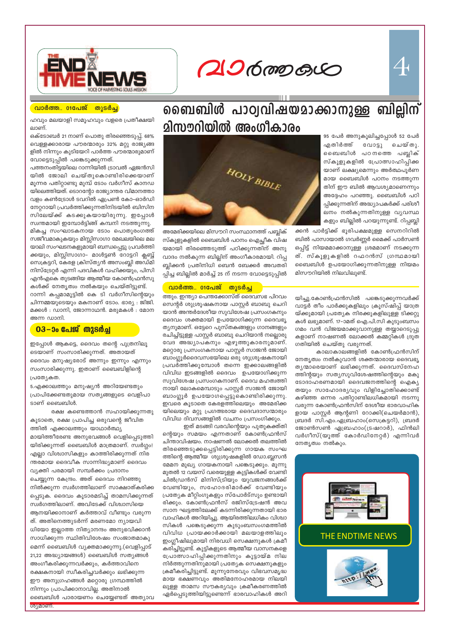$\mathcal{A}% _{0}=\mathcal{A}_{1}\!\left( a,b\right) ,\ \mathcal{A}_{1}=\mathcal{A}_{1}=\mathcal{A}_{1}=\mathcal{A}_{1}=\mathcal{A}_{1}=\mathcal{A}_{1}=\mathcal{A}_{1}=\mathcal{A}_{1}=\mathcal{A}_{1}=\mathcal{A}_{1}=\mathcal{A}_{1}=\mathcal{A}_{1}=\mathcal{A}_{1}=\mathcal{A}_{1}=\mathcal{A}_{1}=\mathcal{A}_{1}=\mathcal{A}_{1}=\mathcal{A}_{1}=\mathcal{A}_{1}=\mathcal{A}_{1}=\mathcal{A}_{1}=\mathcal{A}_{1}=\mathcal{A}_{1}=\mathcal{A}_{1}$ 

 $206$  mp  $60$ 

ബൈബിൾ പാഠ്വവിഷയമാക്കാനുള്ള ബില്ലിന്



#### <u>വാർത്ത.. 01പേജ്</u> തുടർച്ച

ഹവും മലയാളി സമൂഹവും വളരെ പ്രതീക്ഷയി ലാണ്

ഒക്ടോബർ 21 നാണ് പൊതു തിരഞ്ഞെടുപ്പ്. 68% .<br>വെള്ളക്കാരായ പൗരന്മാരും 32% മറ്റു രാജ്യങ്ങ ളിൽ നിന്നും കുടിയേറി പാർത്ത പൗരന്മാരുമാണ് വോട്ടെടുപ്പിൽ പങ്കെടുക്കുന്നത്.

പത്തനംതിട്ടയിലെ റാന്നിയിൽ ട്രാവൽ ഏജൻസി യിൽ ജോലി ചെയ്തുകൊണ്ടിരിക്കെയാണ് മൂന്നര പതിറ്റാണ്ടു മുമ്പ് ടോം വർഗീസ് കാനഡ യിലെത്തിയത്. ടൊറന്റോ രാജ്യാന്തര വിമാനത്താ വളം കൺട്രോൾ ടവറിൽ ഏപ്രൺ കോ-ഓർഡി നേറ്ററായി പ്രവർത്തിക്കുന്നതിനിടയിൽ ബിസിന സിലേയ്ക്ക് കടക്കുകയായിരുന്നു. ഇപ്പോൾ

സ്വന്തമായി ഇമ്പോർട്ടിങ്ങ് കമ്പനി നടത്തുന്നു. മികച്ച സംഘാടകനായ ടോം പൊതുരംഗത്ത് സജീവമാകുകയും മിസ്സിസാഗാ മേഖലയിലെ മല യാലി സംഘടനകളുമായി ബന്ധപ്പെട്ടു പ്രവർത്തി ക്കയും, മിസ്സിസാഗാ– മാൾട്ടൺ റോട്ടറി ക്ലബ്ബ് സെക്രട്ടറി, കേരള ക്രിസ്ത്യൻ അസംബ്ലി അഡ്മി നിസ്ട്രേറ്റർ എന്നി പദവികൾ വഹിക്കയും, പിസി എൻഎകെ തുടങ്ങിയ ആത്മീയ കോൺഫ്രൻസു കൾക്ക് നേതൃത്വം നൽകയും ചെയ്തിട്ടുണ്ട്.

റാന്നി കപ്പമാമൂട്ടിൽ കെ ടി വർഗീസിന്റെയും ചിന്നമ്മയുടെയും മകനാണ് ടോം. ഭാര്യ : ജിജി. മക്കൾ : ഡാനി, ജോന്നാഥൻ. മരുമകൾ : മോന അന്ന ഡാനി.

#### <u>03–ാം പേജ് തുടർച്ച</u>

ഇപ്പോൾ ആകട്ടെ, ദൈവം തന്റെ പുത്രനിലൂ ടെയാണ് സംസാരിക്കുന്നത്. അതായത് ദൈവം മനുഷ്യരോട് അന്നും ഇന്നും എന്നും സംസാരിക്കുന്നു. ഇതാണ് ബൈബിളിന്റെ പ്രത്യേകത.

5.എക്കാലത്തും മനുഷ്യൻ അറിയേണ്ടതും പ്രാപിക്കേണ്ടതുമായ സത്യങ്ങളുടെ വെളിപാ ടാണ് ബൈബിൾ.

രക്ഷ കണ്ടെത്താൻ സഹായിക്കുന്നതു കൂടാതെ, രക്ഷ പ്രാപിച്ച ഒരുവന്റെ ജീവിത ത്തിൽ എക്കാലത്തും യാഥാർത്ഥ്യ മായിത്തീരേണ്ട അനുഭവങ്ങൾ വെളിപ്പെടുത്തി യിരിക്കുന്നത് ബൈബിൾ മാത്രമാണ്. സ്വർഗ്ഗം! എല്ലാ വിശ്വാസികളും കാത്തിരിക്കുന്നത് നിര ന്തരമായ ദൈവീക സാന്നിദ്ധ്യമാണ് ദൈവം വ്യക്തി പരമായി സമ്പർക്കം പ്രദാനം ചെയ്യുന്ന കേന്ദ്രം. അത് ദൈവം നിറഞ്ഞു നിൽക്കുന്ന സ്വർഗത്തിലാണ് സാക്ഷാത്കരിക്ക പ്പെടുക. ദൈവം കൂടാരമടിച്ച് താമസിക്കുന്നത് സ്വർഗത്തിലാണ്. അവിടേക്ക് വിശ്വാസിയെ ആനയിക്കാനാണ് കർത്താവ് വീണ്ടും വരുന്ന ത്. അതിനെത്തുടർന്ന് മരണമോ ന്യായവി ധിയോ ഇല്ലാത്ത നിത്യാനന്ദം അനുഭവിക്കാൻ സാധിക്കുന്ന സ്ഥിതിവിശേഷം സംജാതമാകു മെന്ന് ബൈബിൾ വ്യക്തമാക്കുന്നു.(വെളിപ്പാട് 21,22 അദ്ധ്യായങ്ങൾ) ബൈബിൾ സത്യങ്ങൾ അംഗീകരിക്കുന്നവർക്കും, കർത്താവിനെ രക്ഷകനായി സ്വീകരിച്ചവർക്കും ലഭിക്കുന്ന ഈ അനുഗ്രഹങ്ങൾ മറ്റൊരു ഗ്രന്ഥത്തിൽ നിന്നും പ്രാപിക്കാനാവില്ല. അതിനാൽ ബൈബിൾ പാരായണം ചെയ്യേണ്ടത് അത്യാവ



അമേരിക്കയിലെ മിസൗറി സംസ്ഥാനത്ത് പബ്ലിക് സ്കൂളുകളിൽ ബൈബിൾ പഠനം ഐച്ഛീക വിഷ യമായി തിരഞ്ഞെടുത്ത് പഠിക്കുന്നതിന് അനു വാദം നൽകുന്ന ബില്ലിന് അംഗീകാരമായി. റിപ്പ ബ്ലിക്കൻ പ്രതിനിധി ബെൻ ബേക്കർ അവതരി പ്പിച്ച ബില്ലിൽ മാർച്ച് 25 ന് നടന്ന വോട്ടെടുപ്പിൽ

#### വാർത്ത. 01പേജ് തുടർച്ച

ത്തും. ഇന്ത്യാ പെന്തക്കോസ്ത് ദൈവസഭ പിറവം സെന്റർ ശുശ്രൂഷകനായ പാസ്റ്റർ ബാബു ചെറി യാൻ അന്തർദേശീയ സുവിശേഷ പ്രസംഗകനും ദൈവം ശക്തമായി ഉപയോഗിക്കുന്ന ദൈവഭൃ ത്യനുമാണ്. ഒട്ടേറെ പുസ്തകങ്ങളും ഗാനങ്ങളും രചിച്ചിട്ടുള്ള പാസ്റ്റർ ബാബു ചെറിയാൻ നല്ലൊരു വേദ അദ്ധ്യാപകനും എഴുത്തുകാരനുമാണ്. മറ്റൊരു പ്രസംഗകനായ പാസ്റ്റർ സാജൻ ജോയി ബാംഗ്ലൂർദൈവസഭയിലെ ഒരു ശുശ്രൂഷകനായി പ്രവർത്തിക്കുമ്പോൾ തന്നെ ഇക്കാലങ്ങളിൽ വിവിധ ഇടങ്ങളിൽ ദൈവം ഉപയോഗിക്കുന്ന സുവിശേഷ പ്രസംഗകനാണ്. ദൈവ മഹത്വത്തി നായി ലോകമെമ്പാടും പാസ്റ്റർ സാജൻ ജോയി ബാംഗ്ലൂർ ഉപയോഗപ്പെട്ടുകൊണ്ടിരിക്കുന്നു. ഇവരെ കൂടാതെ കേരളത്തിലെയും അമേരിക്ക യിലെയും മറ്റു പ്രഗത്ഭരായ ദൈവദാസന്മാരും വിവിധ ദിവസങ്ങളിൽ വചനം പ്രസംഗിക്കും.

ഇത് മടങ്ങി വരവിന്റെയും പുതുകക്ത്തി ന്റെയും സമയം എന്നതാണ് കോൺഫ്രൻസ് ചിന്താവിഷയം. നാഷണൽ ലോക്കൽ തലത്തിൽ തിരഞ്ഞെടുക്കപ്പെട്ടിരിക്കുന്ന ഗായക സംഘ ത്തിന്റെ ആത്മീയ ശുശ്രൂഷകളിൽ ഡോ.ബ്ലസൻ മേമന മുഖ്യ ഗായകനായി പങ്കെടുക്കും. മൂന്നു മുതൽ 12 വയസ് വരെയുള്ള കുട്ടികൾക്ക് വേണ്ടി ചിൽഡ്രൻസ് മിനിസ്ട്രിയും യുവജനങ്ങൾക്ക് വേണ്ടിയും, സഹോദരിമാർക്ക് വേണ്ടിയും പ്രത്യേക മീറ്റിംഗുകളും സ്പോർട്സും ഉണ്ടായി രിക്കും. കോൺഫ്രൻസ് രജിസ്ട്രേഷൻ അവ സാന ഘട്ടത്തിലേക്ക് കടന്നിരിക്കുന്നതായി ഭാര വാഹികൾ അറിയിച്ചു. ആയിരത്തിലധികം വിശ്വാ സികൾ പങ്കെടുക്കുന്ന കൂടുംബസംഗമത്തിൽ വിവിധ പ്രായക്കാർക്കായി മലയാളത്തിലും ഇംഗ്ലീഷിലുമായി നിരവധി സെക്ഷനുകൾ ക്രമീ കരിച്ചിട്ടുണ്ട്. കുട്ടികളുടെ ആത്മീയ വാസനകളെ പ്രോത്സാഹിപ്പിക്കുന്നതിനും കൂട്ടായ്മ നില നിർത്തുന്നതിനുമായി പ്രത്യേക സെക്ഷനുകളും ക്രമീകരിച്ചിട്ടുണ്ട്. മൂന്നുനേരവും വിഭവസമൃദ്ധ മായ ഭക്ഷണവും അതിമനോഹരമായ നിലയി ലുള്ള താമസ സൗകര്യവും ക്രമീകരണത്തിൽ ഏർപ്പെടുത്തിയിട്ടുണ്ടെന്ന് ഭാരവാഹികൾ അറി

95 പേർ അനുകൂലിച്ചപ്പോൾ 52 പേർ എതിർത്ത് വോട്ടു ചെയ്തു. ബൈബിൾ പഠനത്തെ പബ്ലിക് സ്കൂളുകളിൽ പ്രോത്സാഹിപ്പിക്ക യാണ് ലക്ഷ്യമെന്നും അർത്ഥപൂർണ മായ ബൈബിൾ പഠനം നടത്തുന്ന തിന് ഈ ബിൽ ആവശ്യമാണെന്നും അദ്ദേഹം പറഞ്ഞു. ബൈബിൾ പഠി പ്പിക്കുന്നതിന് അദ്ധ്യാപകർക്ക് പരിശീ ലനം നൽകുന്നതിനുള്ള വ്യവസ്ഥ കളും ബില്ലിൽ പറയുന്നുണ്ട്. റിപ്പബ്ലി

ക്കൻ പാർട്ടിക്ക് ഭൂരിപക്ഷമുള്ള സെനറിറിൽ ബിൽ പാസായാൽ ഗവർണ്ണർ മൈക്ക് പാർസൺ ഒപ്പിട്ട് നിയമമാക്കാനുള്ള ശ്രമമാണ് നടക്കുന്ന ത്. സ്കൂളുകളിൽ റഫറൻസ് ഗ്രന്ഥമായി ബൈബിൾ ഉപയോഗിക്കുന്നതിനുള്ള നിയമം മിസൗറിയിൽ നിലവിലുണ്ട്.

യിച്ചു.കോൺഫ്രൻസിൽ പങ്കെടുക്കുന്നവർക്ക് വാട്ടർ തീം പാർക്കുകളിലും ക്രൂസ്ഷിപ്പ് യാത്ര യ്ക്കുമായി പ്രത്യേക നിരക്കുകളിലുള്ള ടിക്കറ്റു കൾ ലഭ്യമാണ്. 17–ാമത് ഐ.പി.സി കുടുംബസം ഗമം വൻ വിജയമാക്കുവാനുള്ള തയ്യാറെടുപ്പു കളാണ് നാഷണൽ ലോക്കൽ കമ്മറ്റികൾ ദ്രുത ഗതിയിൽ ചെയ്തു വരുന്നത്.

കാലാകാലങ്ങളിൽ കോൺഫ്രൻസിന് നേതൃത്വം നൽകുവാൻ ശക്തന്മാരായ ദൈവഭൃ തൃന്മാരെയാണ് ലഭിക്കുന്നത്. ദൈവസ്നേഹ ത്തിന്റയും സത്യസുവിശേഷത്തിന്റെയും മകു ടോദാഹരണമായി ദൈവജനത്തിന്റെ ഐക്യ തയും സാഹോദര്യവും വിളിച്ചോതിക്കൊണ്ട് കഴിഞ്ഞ ഒന്നര പതിറ്റാണ്ടിലധികമായി നടന്നു വരുന്ന കോൺഫ്രൻസിന് ദേശീയ ഭാരവാഹിക ളായ പാസ്റ്റർ ആന്റണി റോക്കി(ചെയർമാൻ), ബ്രദർ സി.എം.ഏബ്രഹാം(സെക്രട്ടറി), ബ്രദർ ജോൺസൺ ഏബ്രഹാം(ട്രഷറാർ), ഫിൻലി വർഗീസ്(യൂത്ത് കോർഡിനേറ്റർ) എന്നിവർ നേതൃത്വം നൽകും.

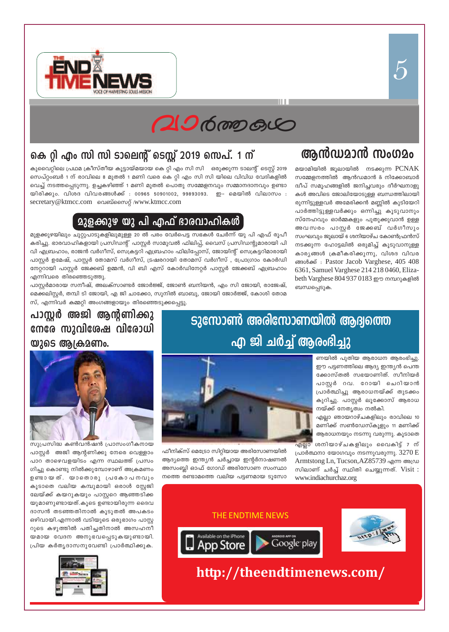



## കെ റ്റി എം സി സി ടാലെന്റ് ടെസ്റ്റ് 2019 സെപ്. 1 ന്

കുവൈറ്റിലെ പ്രഥമ ക്രീസ്തീയ കൂട്ടായ്മയായ കെ റ്റി എം സി സി ഒരുക്കുന്ന ടാലന്റ് ടെസ്റ്റ് 2019 സെപ്റ്റംബർ 1 ന് രാവിലെ 8 മുതൽ 1 മണി വരെ കെ റ്റി എം സി സി യിലെ വിവിധ വേദികളിൽ വെച്ച് നടത്തപ്പെടുന്നു. ഉച്ചകഴിഞ്ഞ് 1 മണി മുതൽ പൊതു സമ്മേളനവും സമ്മാനദാനവും ഉണ്ടാ യിരിക്കും. വിശദ വിവരങ്ങൾക്ക് : 00965 50901002, 99893093. ഇ- മെയിൽ വിലാസം : secretary@ktmcc.com 
ane and anomog :www.ktmcc.com

#### **മുളക്കുഴ യു പി എഫ് ഭാരവാഹിക**ൾ

മുളക്കുഴയിലും ചുറ്റുപാടുകളിലുമുള്ള 20 ൽ പരം വേർപെട്ട സഭകൾ ചേർന്ന് യു പി എഫ് രൂപീ കരിച്ചു. ഭാരവാഹികളായി പ്രസിഡന്റ് പാസ്റ്റർ സാമുവൽ ഫിലിപ്പ്, വൈസ് പ്രസിഡന്റുമാരായി പി വി എബ്രഹാം, രാജൻ വർഗീസ്, സെക്രട്ടറി എബ്രഹാം ഫിലിപ്പോസ്, ജോയിന്റ് സെക്രട്ടറിമാരായി പാസ്റ്റർ ഉമേഷ്, പാസ്റ്റർ തോമസ് വർഗീസ്, ട്രഷരറായി തോമസ് വർഗീസ് , പ്രോഗ്രാം കോർഡി നേറ്ററായി പാസ്റ്റർ ജേക്കബ് ഉമ്മൻ, വി ബി എസ് കോർഡിനേറ്റർ പാസ്റ്റർ ജേക്കബ് എബ്രഹാം എന്നിവരെ തിരഞ്ഞെടുത്തു.

പാസ്റ്റർമാരായ സനീഷ്, അലക്സാണ്ടർ ജോർജ്ജ്, ജോൺ ബനിയൻ, എം സി ജോയി, രാജേഷ്, മെക്കലിസ്റ്റർ, തമ്പി ടി ജോയി, എ ജി ചാക്കോ, സുനിൽ ബാബു, ജോയി ജോർജ്ജ്, കോശി തോമ സ്, എന്നിവർ കമ്മറ്റി അംഗങ്ങളായും തിരഞ്ഞെടുക്കപ്പെട്ടു.

## ആൻഡമാൻ സംഗമം

മയാമിയിൽ ജൂലായിൽ നടക്കുന്ന  $PCNAK$ സമ്മേളനത്തിൽ ആൻഡമാൻ & നിക്കോബാർ ദ്വീപ് സമൂഹങ്ങളിൽ ജനിച്ചവരും ദീർഘനാളു കൾ അവിടെ ജോലിയോടുള്ള ബന്ധത്തിലായി രുന്നിട്ടുള്ളവർ അമേരിക്കൻ മണ്ണിൽ കുടിയേറി പാർത്തിട്ടുള്ളവർക്കും ഒന്നിച്ചു കൂടുവാനും സ്നേഹവും ഓർമ്മകളും പുതുക്കുവാൻ ഉള്ള അവസരം പാസ്റ്റർ ജേക്കബ് വർഗീസും സംഘവും ജൂലായ് 6 ശനിയാഴ്ച കോൺഫ്രൻസ് നടക്കുന്ന ഹോട്ടലിൽ ഒരുമിച്ച് കുടുവാനുള്ള കാര്യങ്ങൾ ക്രമീകരിക്കുന്നു, വിശദ വിവര ങ്ങൾക്ക്: Pastor Jacob Varghese, 405 408 6361, Samuel Varghese 214 218 0460, Elizabeth Varghese 804 937 0183 ഈ നമ്പറുകളിൽ ബന്ധപ്പെടുക.

### പാസ്റ്റർ അജി ആന്റണിക്കു നേരേ സുവിശേഷ വിരോധി യുടെ ആക്രമണം.



സുപ്രസിദ്ധ കൺവൻഷൻ പ്രാസംഗീകനായ പാസ്റ്റർ അജി ആന്റണിക്കു നേരെ വെള്ളാം പാറ താഴെവളയിടം എന്ന സ്ഥലത്ത് പ്രസം ഗിച്ചു കൊണ്ടു നിൽക്കുമ്പോഴാണ് അക്രമണം ഉണ്ടായത്. യാതൊരു പ്രകോപനവും കൂടാതെ വലിയ കമ്പുമായി ഒരാൾ സ്റ്റേജി ലേയ്ക്ക് കയറുകയും പാസ്റ്ററെ ആഞ്ഞടിക്ക യുമാണുണ്ടായത്.കുടെ ഉണ്ടായിരുന്ന ദൈവ ദാസൻ തടഞ്ഞതിനാൽ കൂടുതൽ അപകടം ഒഴിവായി.എന്നാൽ വടിയുടെ ഒരുഭാഗം പാസ്റ്റ റുടെ കഴുത്തിൽ പതിച്ചതിനാൽ അസഹനീ യമായ വേദന അനുഭവപ്പെടുകയുണ്ടായി. പ്രിയ കർത്യദാസനുവേണ്ടി പ്രാർത്ഥിക്കുക.



## ടുസോൺ അരിസോണയിൽ ആദ്യത്തെ എ ജി ചർച്ച് ആരംഭിച്ചു

ണയിൽ പുതിയ ആരാധന ആരംഭിച്ചു. ഈ പട്ടണത്തിലെ ആദ്യ ഇന്ത്യൻ പെന്ത ക്കോസ്തൽ സഭയാണിത്. സീനിയർ പാസ്റ്റർ റവ. റോയി ചെറിയാൻ പ്രാർത്ഥിച്ചു ആരാധനയ്ക്ക് തുടക്കം കുറിച്ചു. പാസ്റ്റർ ലൂക്കോസ് ആരാധ നയ്ക്ക് നേതൃത്വം നൽകി.

എല്ലാ ഞായറാഴ്ചകളിലും രാവിലെ 10 മണിക്ക് സൺഡേസ്കൂളും 11 മണിക്ക് ആരാധനയും നടന്നു വരുന്നു. കൂടാതെ

<mark>എല്ലാ</mark> ശനിയാഴ്ചകളിലും വൈകിട്ട് 7 ന് പ്രാർത്ഥനാ യോഗവും നടന്നുവരുന്നു.  $3270 E$ Armtstong Ln, Tucson, AZ85739 എന്ന അഡ്ര സിലാണ് ചർച്ച് സ്ഥിതി ചെയ്യുന്നത്. Visit : www.indiachurchaz.org



ഫീനിക്സ് മെട്രോ സിറ്റിയായ അരിസോണയിൽ ആദ്യത്തെ ഇന്ത്യൻ ചർച്ചായ ഇന്റർനാഷണൽ അസംബ്ലി ഓഫ് ഗോഡ് അരിസോണ സംസ്ഥാ നത്തെ രണ്ടാമത്തെ വലിയ പട്ടണമായ ടൂസോ



http://theendtimenews.com/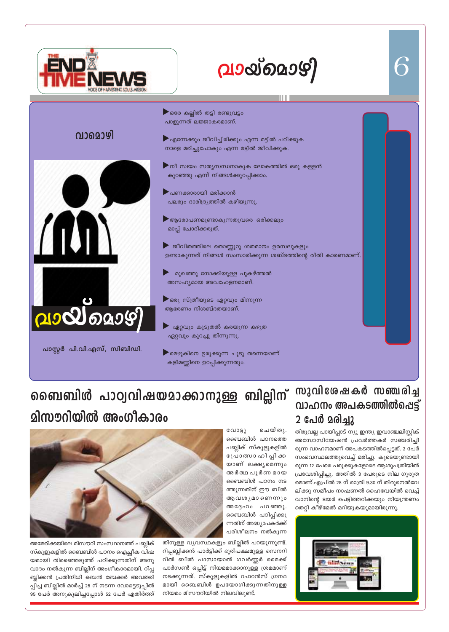

വാമൊഴി

# വായ്മൊഴി

 $\blacktriangleright$ ഒരേ കല്ലിൽ തട്ടി രണ്ടുവട്ടം പാളുന്നത് ലജ്ജാകരമാണ്.  $\blacktriangleright$ എന്നേക്കും ജീവിച്ചിരിക്കും എന്ന മട്ടിൽ പഠിക്കുക നാളെ മരിച്ചുപോകും എന്ന മട്ടിൽ ജീവിക്കുക.  $\blacktriangleright$ നീ സ്വയം സത്യസന്ധനാകുക ലോകത്തിൽ ഒരു കള്ളൻ കുറഞ്ഞു എന്ന് നിങ്ങൾക്കുറപ്പിക്കാം. ▶ പണക്കാരായി മരിക്കാൻ പലരും ദാരിദ്ര്യത്തിൽ കഴിയുന്നു.  $\blacktriangleright$  ആരോപണമുണ്ടാകുന്നതുവരെ ഒരിക്കലും മാപ് ചോദിക്കരുത്. ജീവിതത്തിലെ തൊണ്ണൂറു ശതമാനം ഉരസലുകളും ഉണ്ടാകുന്നത് നിങ്ങൾ സംസാരിക്കുന്ന ശബ്ദത്തിന്റെ രീതി കാരണമാണ്. മുഖത്തു നോക്കിയുള്ള പുകഴ്ത്തൽ അസഹ്യമായ അവഹേളനമാണ്.  $\blacktriangleright$ ഒരു സ്ത്രീയുടെ ഏറ്റവും മിന്നുന്ന

ആഭരണം നിശബ്ദതയാണ്.

ഏറ്റവും കൂടുതൽ കരയുന്ന കഴുത ഏറ്റവും കുറച്ചു തിന്നുന്നു.

▶ മെഴുകിനെ ഉരുക്കുന്ന ചൂടു തന്നെയാണ് കളിമണ്ണിനെ ഉറപ്പിക്കുന്നതും.

## പാസ്റ്റർ പി.വി.എസ്, സിബിഡി.

200000097

## സുവിശേഷകർ സഞ്ചരിച്ച <u>വാഹനം അപകടത്തിൽപെട്ട്</u> 2 പേർ മരിച്ചു

തിരുവല്ല പായിപ്പാട് ന്യൂ ഇന്ത്യ ഇവാഞ്ചലിസ്റ്റിക് അസോസിയേഷൻ പ്രവർത്തകർ സഞ്ചരിച്ചി രുന്ന വാഹനമാണ് അപകടത്തിൽപ്പെട്ടത്. 2 പേർ സംഭവസ്ഥലത്തുവെച്ച് മരിച്ചു. കൂടെയുണ്ടായി രുന്ന 12 പേരെ പരുക്കുകളോടെ ആശുപത്രിയിൽ പ്രവേശിപ്പിച്ചു. അതിൽ 3 പേരുടെ നില ഗുരുത രമാണ്.ഏപ്രിൽ 28 ന് രാത്രി 9.30 ന് തിരുനെൽവേ ലിക്കു സമീപം നാഷണൽ ഹൈവേയിൽ വെച്ച് വാനിന്റെ ടയർ പെട്ടിത്തറിക്കയും നിയന്ത്രണം തെറ്റി കീഴ്മേൽ മറിയുകയുമായിരുന്നു.



# ബൈബിൾ പാഠ്വവിഷയമാക്കാനുള്ള ബില്ലിന് മിസൗറിയിൽ അംഗീകാരം

വോട്ടു ചെയ്തു. ബൈബിൾ പഠനത്തെ പബ്ലിക് സ്കൂളുകളിൽ പ്രോത്സാ ഹി പ്പി ക്ക യാണ് ലക്ഷ്യമെന്നും അർത്ഥ പൂർണ മായ ബൈബിൾ പഠനം നട ത്തുന്നതിന് ഈ ബിൽ ആവശ്യമാണെന്നും അദ്ദേഹം പറഞ്ഞു. ബൈബിൾ പഠിപ്പിക്കു ന്നതിന് അദ്ധ്യാപകർക്ക് പരിശീലനം നൽകുന്ന





അമേരിക്കയിലെ മിസൗറി സംസ്ഥാനത്ത് പബ്ലിക് സ്കൂളുകളിൽ ബൈബിൾ പഠനം ഐച്ഛീക വിഷ യമായി തിരഞ്ഞെടുത്ത് പഠിക്കുന്നതിന് അനു വാദം നൽകുന്ന ബില്ലിന് അംഗീകാരമായി. റിപ്പ ബ്ലിക്കൻ പ്രതിനിധി ബെൻ ബേക്കർ അവതരി പ്പിച്ച ബില്ലിൽ മാർച്ച് 25 ന് നടന്ന വോട്ടെടുപ്പിൽ 95 പേർ അനുകൂലിച്ചപ്പോൾ 52 പേർ എതിർത്ത്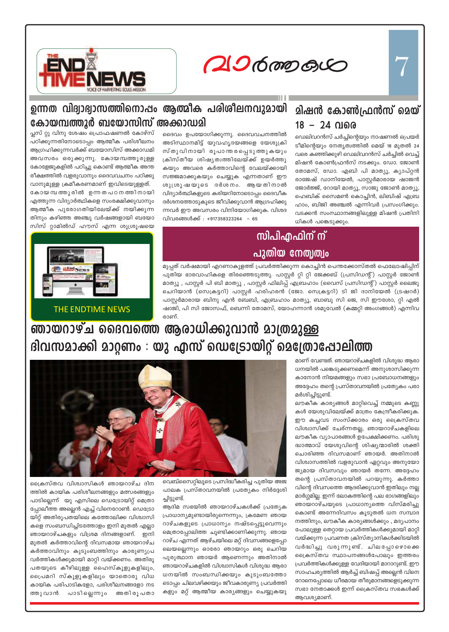**hm¿Ø-Iƒ** 7



#### **ഉന്നത വിദ്വാഭ്വാസത്തിനൊ**ഷം ആത്മീക പരിശീലനവുമായി കോയമ്പത്തൂർ ബയോസിസ് അക്കാഡമി

#### <u>മിഷൻ കോൺഫ്രൻസ് മെയ്</u> 18 - 24 **വരെ**

*\nco-£-I≥*

ഡെലിവറൻസ് ചർച്ചിന്റെയും നാഷണൽ പ്രെയർ ടീമിന്റെയും നേതൃത്വത്തിൽ മെയ് 18 മുതൽ 24 വരെ കഞ്ഞിക്കുഴി ഡെലിവറൻസ് ചർച്ചിൽ വെച്ച് മിഷൻ കോൺഫ്രൻസ് നടക്കും. ഡോ. ജോൺ തോമസ്, ഡോ. എബി പി മാത്യൂ, ക്യാപ്റ്റൻ രാജേഷ് ഡാനിയേൽ, പാസ്റ്റർമാരായ ഷാജൻ ജോർജ്ജ്, റോയി മാത്യൂ, സാജു ജോൺ മാത്യൂ, ഹെബിക് സൈമൺ കൊച്ചിൻ, ലിബിഷ് എബ്ര ഹാം, ബിജി അഞ്ചൽ എന്നിവർ പ്രസംഗിക്കും. വടക്കൻ സംസ്ഥാനങ്ങളിലുള്ള മിഷൻ പ്രതിനി  $w$ ികൾ പങ്കെടുക്കും.

ദൈവം ഉപയോഗിക്കുന്നു. ദൈവവചനത്തിൽ അടിസ്ഥാനമിട്ട് യുവഹൃദയങ്ങളെ യേശുക്രി സ്തുവിനായി രൂപാന്തരപ്പെടുത്തുകയും ക്രിസ്തീയ ശിഷ്യത്വത്തിലേയ്ക്ക് ഉയർത്തു കയും അവരെ കർത്താവിന്റെ വേലയ്ക്കായി സജ്ജമാക്കുകയും ചെയ്യുക എന്നതാണ് ഈ ശുശ്രൂഷയുടെ ദർശനം. ആയതിനാൽ വിദ്യാർത്ഥികളുടെ കരിയറിനോടൊപ്പം ദൈവീക ദർശനത്തോടുകൂടെ ജീവിക്കുവാൻ ആഗ്രഹിക്കു ന്നവർ ഈ അവസരം വിനിയോഗിക്കുക. വിശദ വിവരങ്ങൾക്ക് : +917358323264 - 65

## <mark>സിപിഎഫിന് ന്</mark> <u>പുതിയ നേതൃത്വം</u>

മുപ്പത് വർഷമായി എറണാകുളത്ത് പ്രവർത്തിക്കുന്ന കൊച്ചിൻ പെന്തക്കോസ്തൽ ഫെലോഷിപ്പിന് പുതിയ ഭാരവാഹികളെ തിരഞ്ഞെടുത്തു. പാസ്റ്റർ റ്റി റ്റി ജേക്കബ് (പ്രസിഡന്റ്) പാസ്റ്റർ ജോൺ മാത്യൂ , പാസ്റ്റർ പി ബി മാത്യൂ , പാസ്റ്റർ ഫിലിപ്പ് എബ്രഹാം (വൈസ് പ്രസിഡന്റ്) പാസ്റ്റർ ലൈജു ചെറിയാൻ (സെക്രട്ടറി) പാസ്റ്റർ ഹരിഹരൻ (ജോ. സെക്രട്ടറി) ടി ജി ദാനിയേൽ (ട്രഷറർ) പാസ്റ്റർമാരായ ബിനു എൻ ബേബി, എബ്രഹാം മാത്യൂ, ബാബു സി ജെ, സി ഈശോ, റ്റി എൽ ഷാജി, പി സി ജോസഫ്, ബെന്നി തോമസ്, യോഹന്നാൻ ശമുവേൽ (കമ്മറ്റി അംഗങ്ങൾ) എന്നിവ രാണ്.

പ്ലസ് റ്റു വിനു ശേഷം പ്രൊഫഷണൽ കോഴ്സ് പഠിക്കുന്നതിനോടൊപ്പം ആത്മീക പരിശീലനം ആഗ്രഹിക്കുന്നവർക്ക് ബയോസിസ് അക്കാഡമി അവസരം ഒരുക്കുന്നു. കോയമ്പത്തൂരുള്ള കോളേജുകളിൽ പഠിച്ചു കൊണ്ട് ആത്മീക അന്ത രീക്ഷത്തിൽ വളരുവാനും ദൈവവചനം പഠിക്കു

വാനുമുള്ള ക്രമീകരണമാണ് ഇവിടെയുള്ളത്. കോയ മ്പത്തൂരിൽ ഉന്ന തപഠന ത്തിനായി എത്തുന്ന വിദ്യാർത്ഥികളെ സംരക്ഷിക്കുവാനും ആത്മീക പുരോഗതിയിലേയ്ക്ക് നയിക്കുന്ന തിനും കഴിഞ്ഞ അഞ്ചു വർഷങ്ങളായി ബയോ സിസ് റ്റാമിൽഡ് ഹൗസ് എന്ന ശുശ്രൂഷയെ

THE ENDTIME NEWS

പ്രൈസ്തവ വിശ്വാസികൾ ഞായറാഴ്ച ദിന ത്തിൽ കായിക പരിശീലനങ്ങളും മത്സരങ്ങളും പാടില്ലെന്ന് യു എസിലെ ഡെട്രോയിറ്റ് മെത്രാ പ്പോലീത്ത അല്ലെൻ എച്ച് വിനെറോൺ. ഡെട്രോ യിറ്റ് അതിരൂപതയിലെ കത്തോലിക്ക വിശ്വാസി കളെ സംബന്ധിച്ചിടത്തോളം ഇനി മുതൽ എല്ലാ ഞായറാഴ്ചകളും വിശ്രമ ദിനങ്ങളാണ്. ഇനി മുതൽ കർത്താവിന്റെ ദിവസമായ ഞായറാഴ്ച കർത്താവിനും കുടുംബത്തിനും കാരുണ്യപ്ര വർത്തികൾക്കുമായി മാറ്റി വയ്ക്കണം. അതിരൂ പതയുടെ കീഴിലുള്ള ഹൈസ്കൂളുകളിലും, പ്രൈമറി സ്കൂളുകളിലും യാതൊരു വിധ കായിക പരിപാടികളോ, പരിശീലനങ്ങളോ നട ത്തുവാൻ പാടില്ലെന്നും അതിരൂപതാ

**ഞായറാഴ്ച ദൈവത്തെ ആരാധിക്കുവാൻ മാത്രമുള്ള** <u> ദിവസമാക്കി മാറ്റണം : യു എസ് ഡെട്</u>രോയിറ്റ് മെത്രോഷോലിത്ത

പാലക പ്രസ്താവനയിൽ പ്രത്യേകം നിർദ്ദേശി

ആദിമ സഭയിൽ ഞായറാഴ്ചകൾക്ക് പ്രത്യേക (പാധാനൃമുണ്ടായിരുന്നെന്നും, ക്രമേണ ഞായ റാഴ്ചകളുടെ പ്രാധാന്യം നഷ്ടപ്പെട്ടുവെന്നും മെത്രാപ്പോലിത്ത ചൂണ്ടിക്കാണിക്കുന്നു. ഞായ റാഴ്ച എന്നത് ആഴ്ചയിലെ മറ്റ് ദിവസങ്ങളെപ്പോ ലെയല്ലെന്നും ഓരോ ഞായറും ഒരു ചെറിയ പുരുത്ഥാന ഞായർ ആണെന്നും അതിനാൽ ഞായറാഴ്ചകളിൽ വിശ്വാസികൾ വിശുദ്ധ ആരാ ധനയിൽ സംബന്ധിക്കയും കുടുംബത്തോ ടൊപ്പം ചിലവഴിക്കയും ജീവകാരുണ്യ പ്രവർത്തി കളും മറ്റ് ആത്മീയ കാര്യങ്ങളും ചെയ്യുകയു മാണ് വേണ്ടത്. ഞായറാഴ്ചകളിൽ വിശുദ്ധ ആരാ  $\omega$ നയിൽ പങ്കെടുക്കണമെന്ന് അനുശാസിക്കുന്ന കാനോൻ നിയമങ്ങളും സഭാ പ്രബോധനങ്ങളും അദ്ദേഹം തന്റെ പ്രസ്താവനയിൽ പ്രത്യേകം പരാ മർശിച്ചിട്ടുണ്ട്.

ലൗകീക കാര്യങ്ങൾ മാറ്റിവെച്ച് നമ്മുടെ കണ്ണു കൾ യേശുവിലേയ്ക്ക് മാത്രം കേന്ദ്രീകരിക്കുക. ഈ കച്ചവട സംസ്ക്കാരം ഒരു ക്രൈസ്തവ വിശ്വാസിക്ക് ചേര്ന്നതല്ല, ഞായറാഴ്ചകളിലെ ലൗകീക വ്യാപാരങ്ങൾ ഉപേക്ഷിക്കണം. പരിശു ഭ്ധാത്മാവ് യേശുവിന്റെ ശിഷ്യന്മാരിൽ ശക്തി ചൊരിഞ്ഞ ദിവസമാണ് ഞായർ. അതിനാൽ വിശ്വാസത്തിൽ വളരുവാൻ ഏറ്റവും അനുയോ ജ്യമായ ദിവസവും ഞായർ തന്നേ. അദ്ദേഹം തന്റെ പ്രസ്താവനയിൽ പറയുന്നു. കർത്താ വിന്റെ ദിവസത്തെ ആദരിക്കുവാൻ ഇതിലും നല്ല മാർഗ്ഗമില്ല. ഇന്ന് ലോകത്തിന്റെ പല ഭാഗങ്ങളിലും ഞായറാഴ്ചയുടെ പ്രാധാന്യത്തെ വിസ്മരിച്ചു കൊണ്ട് അന്നേദിവസം കൂടുതൽ ധന സമ്പാദ നത്തിനും, ലൗകീക കാര്യങ്ങൾക്കും , മദ്യപാനം പോലുള്ള തെറ്റായ പ്രവർത്തികൾക്കുമായി മാറ്റി വയ്ക്കുന്ന പ്രവണത ക്രിസ്ത്യാനികൾക്കിടയിൽ വർദ്ധിച്ചു വരുന്നുണ്ട്. ചിലപ്പോഴൊക്കെ പ്രൈകസ്തവ സ്ഥാപനങ്ങൾപോലും ഇത്തരം (പവർത്തികൾക്കുള്ള വേദിയായി മാറാറുണ്ട്. ഈ സാഹചര്യത്തിൽ ആർച്ച് ബിഷപ്പ് അല്ലെൻ വിനെ റോനെപ്പോലെ ധീരമായ തീരുമാനങ്ങളെടുക്കുന്ന സഭാ നേതാക്കൾ ഇന്ന് ക്രൈസ്തവ സഭകൾക്ക് ആവശ്യമാണ്.

വെബ്സൈറ്റിലുടെ പ്രസിദ്ധീകരിച്ച പുതിയ അജ

ച്ചിട്ടുണ്ട്.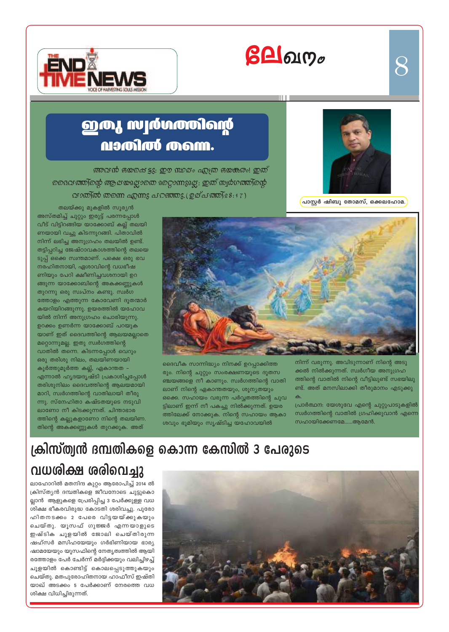# $\beta$ **A** $\alpha$



# **ஹரை மாழ்மானிவற் MIGULA MOWN.**

ന്തുവൻ ഭയക്ഷെട്ടു; ഈ ന്ധമ്പം എത്ര ഭയകരം! ഇത് <u>ടൈവത്തിന്റെ ആലയപ്പോതെ മറ്റൊന്നുപ്പോ; ഇത് സ്വർഗത്തിന്റെ </u> വാത്രിൽ തന്നെ ഏന്നു പറഞ്ഞു. (ഉമ്പത്തി $28:17$ )



 $\mathcal{S}% _{M_{1},M_{2}}^{\alpha,\beta}(\mathbf{Q}_{M_{1},M_{2}}^{\alpha,\beta}(\mathbf{Q}_{M_{1},M_{2}}^{\alpha,\beta}(\mathbf{Q}_{M_{1},M_{2}}^{\alpha,\beta}(\mathbf{Q}_{M_{1},M_{2}}^{\alpha,\beta}(\mathbf{Q}_{M_{1},M_{2}}^{\alpha,\beta}(\mathbf{Q}_{M_{1},M_{2}}^{\alpha,\beta}(\mathbf{Q}_{M_{1},M_{2}}^{\alpha,\beta}(\mathbf{Q}_{M_{1},M_{2}}^{\alpha,\beta}(\mathbf{Q}_{M_{1},M_{2}}^{\alpha,\beta}(\mathbf{Q}_{M_{1},M_{2}}^{\alpha,\$ 

പാസ്റ്റർ ഷിബു തോമസ്, ഒക്കലഹോമ.

തലയ്ക്കു മുകളിൽ സൂര്യൻ അസ്തമിച്ച് ചുറ്റും ഇരുട്ട് പരന്നപ്പോൾ വീട് വിട്ടിറങ്ങിയ യാക്കോബ് കല്ല് തലയി ണയായി വച്ചു കിടന്നുറങ്ങി. പിതാവിൽ നിന്ന് ലഭിച്ച അനുഗ്രഹം തലയിൽ ഉണ്ട്. തട്ടിപ്പറിച്ച ജേഷ്ഠാവകാശത്തിന്റെ തലയെ ടുപ്പ് ഒക്കെ സ്വന്തമാണ്. പക്ഷെ ഒരു ഭവ നരഹിതനായി, ഏശാവിന്റെ വധഭീഷ ണിയും പേറി ക്ഷീണിച്ചവശനായി ഉറ ങ്ങുന്ന യാക്കോബിന്റെ അകക്കണ്ണുകൾ തുറന്നു ഒരു സ്വപ്നം കണ്ടു. സ്വർഗ ത്തോളം എത്തുന്ന കോവേണി ദൂതന്മാർ കയറിയിറങ്ങുന്നു. ഉയരത്തിൽ യഹോവ യിൽ നിന്ന് അനുഗ്രഹം ചൊരിയുന്നു. ഉറക്കം ഉണർന്ന യാക്കോബ് പറയുക യാണ് ഇത് ദൈവത്തിന്റെ ആലയമല്ലാതെ മറ്റൊന്നുമല്ല. ഇതു സ്വർഗത്തിന്റെ വാതിൽ തന്നെ. കിടന്നപ്പോൾ വെറും ഒരു തരിശു നിലം, തലയിണയായി കൂർത്തുമൂർത്ത കല്ല്, ഏകാന്തത – എന്നാൽ ഹൃദയദൃഷ്ടി പ്രകാശിച്ചപ്പോൾ തരിശുനിലം ദൈവത്തിന്റെ ആലയമായി മാറി, സ്വർഗത്തിന്റെ വാതിലായി തീരു ന്നു. സ്നേഹിതാ കഷ്ടതയുടെ നടുവി ലാണോ നീ കിടക്കുന്നത്. ചിന്താഭാര ത്തിന്റെ കല്ലുകളാണോ നിന്റെ തലയിണ. തിന്റെ അകക്കണ്ണുകൾ തുറക്കുക. അത്



ദൈവീക സാന്നിദ്ധ്യം നിനക്ക് ഉറപ്പാക്കിത്ത രും. നിന്റെ ചുറ്റും സംരക്ഷണയുടെ ദൂതസ ഞ്ചയങ്ങളെ നീ കാണും. സ്വർഗത്തിന്റെ വാതി ലാണ് നിന്റെ ഏകാന്തതയും, ശൂന്യതയും ഒക്കെ. സഹായം വരുന്ന പർവ്വതത്തിന്റെ ചുവ ട്ടിലാണ് ഇന്ന് നീ പകച്ചു നിൽക്കുന്നത്. ഉയര ത്തിലേക്ക് നോക്കുക. നിന്റെ സഹായം ആകാ ശവും ഭൂമിയും സൃഷ്ടിച്ച യഹോവയിൽ

നിന്ന് വരുന്നു. അവിടുന്നാണ് നിന്റെ അടു ക്കൽ നിൽക്കുന്നത്. സ്വർഗീയ അനുഗ്രഹ ത്തിന്റെ വാതിൽ നിന്റെ വീട്ടിലുണ്ട് സഭയിലു ണ്ട്. അത് മനസിലാക്കി തീരുമാനം എടുക്കു

പ്രാർത്ഥന: യേശുവേ എന്റെ ചുറ്റുപാടുകളിൽ സ്വർഗത്തിന്റെ വാതിൽ ഗ്രഹിക്കുവാൻ എന്നെ സഹായിക്കേണമേ......ആമേൻ.

# ക്രിസ്ത്വൻ ദമ്പതികളെ കൊന്ന കേസിൽ 3 പേരുടെ

## വധരിക്ഷ രരിവെച്ചു

ലാഹോറിൽ മതനിന്ദ കുറ്റം ആരോപിച്ച് 2014 ൽ ക്രിസ്ത്യൻ ദമ്പതികളെ ജീവനോടെ ചുട്ടുകൊ ല്ലാൻ ആളുകളെ പ്രേരിപ്പിച്ച 3 പേർക്കുള്ള വധ ശിക്ഷ ഭീകരവിരുദ്ധ കോടതി ശരിവച്ചു. പുരോ ഹിതനടക്കം 2 പേരെ വിട്ടയയ്ക്കുകയും ചെയ്തു. യൂസഫ് ഗുജ്ജർ എന്നയാളുടെ ഇഷ്ടിക ചുളയിൽ ജോലി ചെയ്തിരുന്ന ഷഹ്സർ മസിഹയേയും ഗർഭിണിയായ ഭാര്യ ഷാമയേയും യൂസഫിന്റെ നേതൃത്വത്തിൽ ആയി രത്തോളം പേർ ചേർന്ന് മർദ്ദിക്കയും വലിച്ചിഴച്ച് ചൂളയിൽ കൊണ്ടിട്ട് കൊലപ്പെടുത്തുകയും ചെയ്തു. മതപുരോഹിതനായ ഹാഫീസ് ഇഷ്തി യാഖ് അടക്കം 5 പേർക്കാണ് നേരത്തെ വധ ശിക്ഷ വിധിച്ചിരുന്നത്.

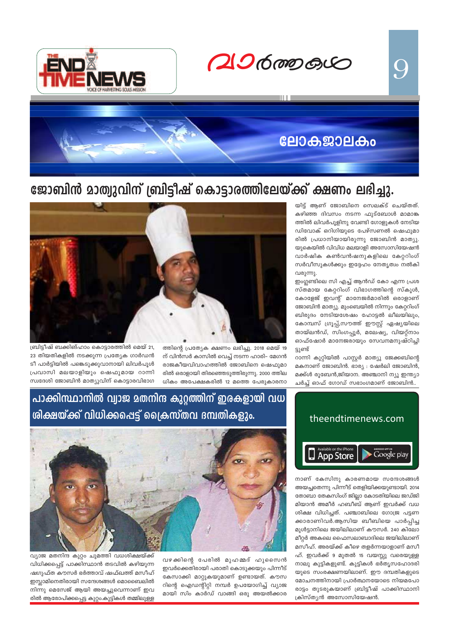$206$  mp  $60$ 



# **பேர்த்தே 2010 கும்**

## ജോബിൻ മാത്വുവിന് ബ്രിട്ടീഷ് കൊട്ടാരത്തിലേയ്ക്ക് ക്ഷണം ലഭിച്ചു.

യിട്ട് ആണ് ജോബിനെ സെലക്ട് ചെയ്തത്. കഴിഞ്ഞ ദിവസം നടന്ന ഫുട്ബോൾ മാമാങ്ക ത്തിൽ ലിവർപൂളിനു വേണ്ടി ഗോളുകൾ നേടിയ ഡിവോക് ഒറിഗിയുടെ പേഴ്സണൽ ഷെഫുമാ രിൽ പ്രധാനിയായിരുന്നു ജോബിൻ മാത്യു. യുകെയിൽ വിവിധ മലയാളി അസോസിയേഷൻ വാർഷിക കൺവൻഷനുകളിലെ കേറ്ററിംഗ് സർവീസുകൾക്കും ഇദ്ദേഹം നേതൃത്വം നൽകി വരുന്നു.

9

ഇംഗ്ലണ്ടിലെ സി എച്ച് ആൻഡ് കോ എന്ന പ്രശ സ്തമായ കേറ്ററിംഗ് വിഭാഗത്തിന്റെ സ്കൂൾ, കോളേജ് ഇവന്റ് മാനേജർമാരിൽ ഒരാളാണ് ജോബിൻ മാത്യു. മുംബെയിൽ നിന്നും കേറ്ററിംഗ് ബിരുദം നേടിയശേഷം ഹോട്ടൽ ലീലയിലും, കോമ്പസ് ഗ്രൂപ്പ്,സൗത്ത് ഈസ്റ്റ് ഏഷ്യയിലെ തായ്ലൻഡ്, സിംഗപ്പൂർ, മലേഷ്യ, വിയറ്റ്നാം ഓഫ്ഷോർ മാനേജരായും സേവനമനുഷ്ഠിച്ചി ട്ടുണ്ട്

റാന്നി കുറ്റിയിൽ പാസ്റ്റർ മാത്യു ജേക്കബിന്റെ മകനാണ് ജോബിൻ. ഭാര്യ : ഷേർലി ജോബിൻ, മക്ക്ൾ രൂബേൻ,ജിയാന. അഞ്ചാനി ന്യൂ ഇന്ത്യാ ചർച്ച് ഓഫ് ഗോഡ് സഭാംഗമാണ് ജോബിൻ..



ത്തിന്റെ പ്രത്യേക ക്ഷണം ലഭിച്ചു. 2018 മെയ് 19 ന് വിൻസർ കാസിൽ വെച്ച് നടന്ന ഹാരി– മേഗൻ രാജകീയവിവാഹത്തിൽ ജോബിനെ ഷെഫുമാ രിൽ ഒരാളായി തിരഞ്ഞെടുത്തിരുന്നു. 2000 ത്തില ധികം അപേക്ഷകരിൽ 12 മത്തെ പേരുകാരനാ

ബ്രിട്ടീഷ് ബക്കിങ്ഹാം കൊട്ടാരത്തിൽ മെയ് 21, 23 തിയതികളിൽ നടക്കുന്ന പ്രത്യേക ഗാർഡൻ ടീ പാർട്ടിയിൽ പങ്കെടുക്കുവാനായി ലിവർപുൾ പ്രവാസി മലയാളിയും ഷെഫുമായ റാന്നി സ്വദേശി ജോബിൻ മാത്യുവിന് കൊട്ടാരവിഭാഗ



നാണ് കേസിനു കാരണമായ സന്ദേശങ്ങൾ അയച്ചതെന്നു പിന്നീട് തെളിയിക്കയുണ്ടായി. 2014 തോബാ തേകസിംഗ് ജില്ലാ കോടതിയിലെ ജഡ്ജി മിയാൻ അമീർ ഹബീബ് ആണ് ഇവർക്ക് വധ ശിക്ഷ വിധിച്ചത്. പഞ്ചാബിലെ ഗോജ്ര പട്ടണ ക്കാരാണിവർ.ആസിയ ബീബിയെ പാർപ്പിച്ച മുൾട്ടാനിലെ ജയിലിലാണ് കൗസർ. 240 കിലോ മീറ്റർ അകലെ ഫൈസലാബാദിലെ ജയിലിലാണ് മസീഹ്. അരയ്ക്ക് കീഴെ തളർന്നയാളാണ് മസീ ഹ്. ഇവർക്ക് 9 മുതൽ 15 വയസ്സു വരെയുള്ള നാലു കുട്ടികളുണ്ട്. കുട്ടികൾ ഭർതൃസഹോദരി യുടെ സംരക്ഷണയിലാണ്. ഈ ദമ്പതികളുടെ മോചനത്തിനായി പ്രാർത്ഥനയോടെ നിയമപോ രാട്ടം തുടരുകയാണ് ബ്രിട്ടീഷ് പാക്കിസ്ഥാനി ക്രിസ്ത്യൻ അസോസിയേഷൻ.

## പാക്കിസ്ഥാനിൽ വ്വാജ മതനിന്ദ കുറ്റത്തിന് ഇരകളായി വധ ശിക്ഷയ്ക്ക് വിധിക്കപ്പെട്ട് ക്രൈസ്തവ ദമ്പതികളും.



വഴക്കിന്റെ പേരിൽ മുഹമ്മദ് ഹുസൈൻ ഇവർക്കെതിരായി പരാതി കൊടുക്കയും പിന്നീട് കേസാക്കി മാറ്റുകയുമാണ് ഉണ്ടായത്. കൗസ റിന്റെ ഐഡന്റിറ്റി നമ്പർ ഉപയോഗിച്ച് വ്യാജ മായി സിം കാർഡ് വാങ്ങി ഒരു അയൽക്കാര

വ്യാജ മതനിന്ദ കുറ്റം ചുമത്തി വധശിക്ഷയ്ക്ക് വിധിക്കപ്പെട്ട് പാക്കിസ്ഥാൻ തടവിൽ കഴിയുന്ന ഷഗുഫ്ത കൗസർ ഭർത്താവ് ഷഫ്ഖത്ത് മസീഹ് ഇസ്ലാമിനെതിരായി സന്ദേശങ്ങൾ മൊബൈലിൽ നിന്നു മെസേജ് ആയി അയച്ചുവെന്നാണ് ഇവ രിൽ ആരോപിക്കപ്പെട്ട കുറ്റം.കുട്ടികൾ തമ്മിലുള്ള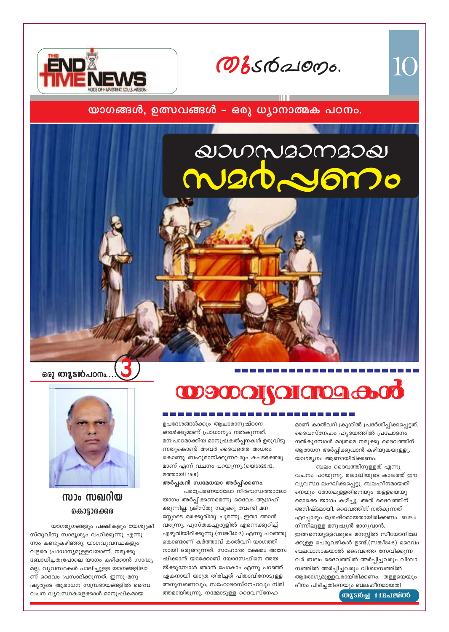Овебаюрь.



#### യാഗങ്ങൾ, ഉത്സവങ്ങൾ – ഒരു ധ്യാനാത്മക പഠനം.

# QUONSOMSOQ maddono

ഒരു **തുടൻ**പഠനം.



#### സാം സഖറിയ കൊട്ടാരക്കര

യാഗമൃഗങ്ങളും പക്ഷികളും യേശുക്രി സ്തുവിനു സാദൃശ്യം വഹിക്കുന്നു എന്നു നാം കണ്ടുകഴിഞ്ഞു. യാഗവ്യവസ്ഥകളും വളരെ പ്രാധാന്യമുള്ളവയാണ്. നമുക്കു ബോധിച്ചതുപോലെ യാഗം കഴിക്കാൻ സാദ്ധ്യ മല്ല. വ്യവസ്ഥകൾ പാലിച്ചുള്ള യാഗങ്ങളിലാ ണ് ദൈവം പ്രസാദിക്കുന്നത്. ഇന്നു മനു ഷ്യരുടെ ആരാധന സമ്പ്രദായങ്ങളിൽ ദൈവ വചന വ്യവസ്ഥകളെക്കാൾ മാനുഷികമായ

**OD9000 JOI 01000 0000** 

ഉപദേശങ്ങൾക്കും ആചാരാനുഷ്ഠാന ങ്ങൾക്കുമാണ് പ്രാധാന്യം നൽകുന്നത്. മന:പാഠമാക്കിയ മാനുഷകൽപ്പനകൾ ഉരുവിടു ന്നതുകൊണ്ട് അവർ ദൈവത്തെ അധരം കൊണ്ടു ബഹുമാനിക്കുന്നവരും കപടഭക്തരു മാണ് എന്ന് വചനം പറയുന്നു.(യെശ29:13, മത്തായി 15:8)

അർപ്പകൻ സ്വമേധയാ അർപ്പിക്കണം.

പരപ്രേരണയാലോ നിർബന്ധത്താലോ യാഗം അർപ്പിക്കണമെന്നു ദൈവം ആഗ്രഹി ക്കുന്നില്ല. ക്രിസ്തു നമുക്കു വേണ്ടി മന സ്സോടെ മരക്കുരിശു ചുമന്നു...ഇതാ ഞാൻ വരുന്നു, പുസ്തകച്ചുരുളിൽ എന്നെക്കുറിച്ച് എഴുതിയിരിക്കുന്നു.(സങ്കീ40:7) എന്നു പറഞ്ഞു കൊണ്ടാണ് കർത്താവ് കാൽവറി യാഗത്തി നായി ഒരുങ്ങുന്നത്. സഹോദര ക്ഷേമം അന്വേ ഷിക്കാൻ യാക്കോബ് യോസേഫിനെ അയ യ്ക്കുമ്പോൾ ഞാൻ പോകാം എന്നു പറഞ്ഞ് ഏകനായി യാത്ര തിരിച്ചത് പിതാവിനോടുള്ള അനുസരണവും, സഹോദരസ്നേഹവും നിമി ത്തമായിരുന്നു. നമ്മോടുള്ള ദൈവസ്നേഹ

മാണ് കാൽവറി ക്രൂശിൽ പ്രദർശിപ്പിക്കപ്പെട്ടത്. ദൈവസ്നേഹം ഹൃദയത്തിൽ പ്രചോദനം നൽകുമ്പോൾ മാത്രമെ നമുക്കു ദൈവത്തിന് ആരാധന അർപ്പിക്കുവാൻ കഴിയുകയുള്ളൂ. യാഗമൃഗം ആണായിരിക്കണം.

10

ബലം ദൈവത്തിനുള്ളത് എന്നു വചനം പറയുന്നു. മലാഖിയുടെ കാലത്ത് ഈ വ്യവസ്ഥ ലംഘിക്കപ്പെട്ടു. ബലഹീനമായതി നെയും രോഗമുള്ളതിനെയും തള്ളയെയു മൊക്കെ യാഗം കഴിച്ചു. അത് ദൈവത്തിന് അനിഷ്ടമായി. ദൈവത്തിന് നൽകുന്നത് എപ്പോഴും ശ്രേഷ്ഠമായതായിരിക്കണം. ബലം നിന്നിലുള്ള മനുഷ്യൻ ഭാഗ്യവാൻ. ഇങ്ങനെയുള്ളവരുടെ മനസ്സിൽ സീയോനിലേ ക്കുള്ള പെരുവഴികൾ ഉണ്ട്.(സങ്കീ84:5) ദൈവം ബലവാനാകയാൽ ദൈവത്തെ സേവിക്കുന്ന വർ ബലം ദൈവത്തിൽ അർപ്പിച്ചവരും വിശ്വാ സത്തിൽ അർപ്പിച്ചവരും വിശ്വാസത്തിൽ ആരോഗ്യമുള്ളവരായിരിക്കണം. തള്ളയെയും ദീനം പിടിച്ചതിനെയും ബലഹീനമായതി

**OURSIOL 11 Religioo**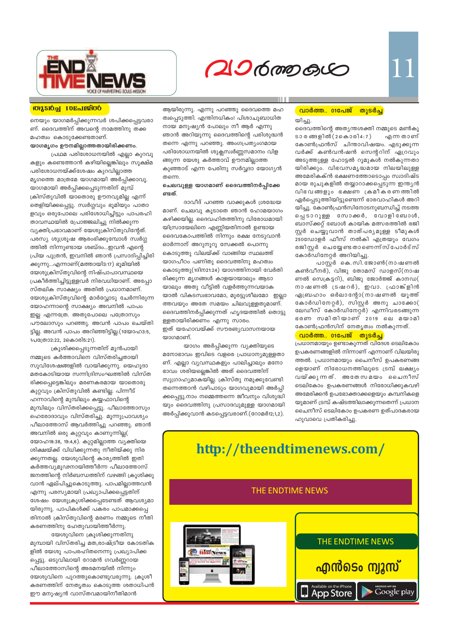

# $206$  mp  $60$

#### **M'sDal 10Enlestoo**

നെയും യാഗമർപ്പിക്കുന്നവർ ശപിക്കപ്പെട്ടവരാ ണ്. ദൈവത്തിന് അവന്റെ നാമത്തിനു തക്ക മഹത്വം കൊടുക്കേണ്ടതാണ്.

#### യാഗമൃഗം ഊനമില്ലാത്തതായിരിക്കണം. പ്രഥമ പരിശോധനയിൽ എല്ലാ കുറവു

കളും കണ്ടെത്താൻ കഴിയില്ലെങ്കിലും സൂക്ഷ്മ പരിശോധനയ്ക്ക്ശേഷം കുറവില്ലാത്ത മൃഗത്തെ മാത്രമേ യാഗമായി അർപ്പിക്കാവൂ. യാഗമായി അർപ്പിക്കപ്പെടുന്നതിന് മുമ്പ് ക്രിസ്തുവിൽ യാതൊരു ഊനവുമില്ല എന്ന് തെളിയിക്കപ്പെട്ടു. സ്വർഗ്ഗവും ഭൂമിയും പാതാ ളവും ഒരുപോലെ പരിശോധിച്ചിട്ടും പാപരഹി താവസ്ഥയിൽ പ്രോജ്ജലിച്ചു നിൽക്കുന്ന വ്യക്തിപ്രഭാവമാണ് യേശുക്രിസ്തുവിന്റേത്. പരസ്യ ശുശ്രൂഷ ആരംഭിക്കുമ്പോൾ സ്വർഗ്ഗ ത്തിൽ നിന്നുണ്ടായ ശബ്ദം...ഇവൻ എന്റെ പ്രിയ പുത്രൻ, ഇവനിൽ ഞാൻ പ്രസാദിപ്പിച്ചിരി ക്കുന്നു...എന്നാണ്(മത്തായി3:17) ഭൂമിയിൽ യേശുക്രിസ്തുവിന്റെ നിഷ്പാപാവസ്ഥയെ പ്രകീർത്തിച്ചിട്ടുള്ളവർ നിരവധിയാണ്. അപ്പോ സ്തലിക സാക്ഷ്യം അതിൽ പ്രധാനമാണ്. യേശുക്രിസ്തുവിന്റെ മാർവ്വോടു ചേർന്നിരുന്ന യോഹന്നാന്റെ സാക്ഷ്യം അവനിൽ പാപം ഇല്ല എന്നത്രേ. അതുപോലെ പത്രോസും പൗലോസും പറഞ്ഞു. അവൻ പാപം ചെയ്തി ട്ടില്ല. അവൻ പാപം അറിഞ്ഞിട്ടില്ല.(1യോഹ3:5, 1പക്രോ2:22, 2കൊരി5:21).

ക്രൂശിക്കപ്പെടുന്നതിന് മുൻപായി നമ്മുടെ കർത്താവിനെ വിസ്തരിച്ചതായി സുവിശേഷങ്ങളിൽ വായിക്കുന്നു. യെഹൂദാ മതകോടിയായ സന്നിദ്രിസംഘത്തിൽ വിസ്ത രിക്കപ്പെട്ടെങ്കിലും മരണകരമായ യാതൊരു കുറ്റവും ക്രിസ്തുവിൽ കണ്ടില്ല. പിന്നീട് ഹന്നാവിന്റെ മുമ്പിലും കയ്യഫാവിന്റെ മുമ്പിലും വിസ്തരിക്കപ്പെട്ടു. പീലാത്തോസും ഹെരോദാവും വിസ്തരിച്ചു. മൂന്നുപ്രാവശ്യം പീലാത്തോസ് ആവർത്തിച്ചു പറഞ്ഞു. ഞാൻ അവനിൽ ഒരു കുറ്റവും കാണുന്നില്ല( യോഹ18:38, 19:4,6). കുറ്റമില്ലാത്ത വ്യക്തിയെ ശിക്ഷയ്ക്ക് വിധിക്കുന്നതു നീതിയ്ക്കു നിര ക്കുന്നതല്ല. യേശുവിന്റെ കാര്യത്തിൽ ഇതി കർത്തവ്യമൂഢനായിത്തീർന്ന പീലാത്തോസ് ജനത്തിന്റെ നിർബന്ധത്തിന് വഴങ്ങി ക്രൂശിക്കു വാൻ ഏല്പിച്ചുകൊടുത്തു. പാപമില്ലാത്തവൻ എന്നു പരസ്യമായി പ്രഖ്യാപിക്കപ്പെട്ടതിന് ശേഷം യേശുക്രൂശിക്കപ്പെടേണ്ടത് ആവശ്യമാ യിരുന്നു. പാപികൾക്ക് പകരം പാപമാക്കപ്പെ തിനാൽ ക്രിസ്തുവിന്റെ മരണം നമ്മുടെ നീതി കരണത്തിനു ഹേതുവായിത്തീർന്നു.

യേശുവിനെ ക്രൂശിക്കുന്നതിനു മുമ്പായി വിസ്തരിച്ച മത,രാഷ്ട്രീയ കോടതിക ളിൽ യേശു പാപരഹിതനെന്നു പ്രഖ്യാപിക്ക പ്പെട്ടു. ഒടുവിലായി റോമൻ ഗവർണ്ണറായ പീലാത്തോസിന്റെ അരമനയിൽ നിന്നും യേശുവിനെ പുറത്തുകൊണ്ടുവരുന്നു. ക്രൂശീ കരണത്തിന് നേതൃത്വം കൊടുത്ത ശതാധിപൻ ഈ മനുഷ്യൻ വാസ്തവമായിനീതിമാൻ

ആയിരുന്നു. എന്നു പറഞ്ഞു ദൈവത്തെ മഹ ത്വപ്പെടുത്തി. എന്തിനധികം! പിശാചുബാധിത നായ മനുഷ്യൻ പോലും നീ ആർ എന്നു ഞാൻ അറിയുന്നു ദൈവത്തിന്റെ പരിശുദ്ധൻ തന്നെ എന്നു പറഞ്ഞു. അംഗപ്രത്യംഗമായ പരിശോധനയിൽ ശുക്ലസ്വർണ്ണസമാനം വിള ങ്ങുന്ന യേശു കർത്താവ് ഊനമില്ലാത്ത കുഞ്ഞാട് എന്ന പേരിനു സർവ്വദാ യോഗ്യൻ തന്നെ.

#### ചെലവുള്ള യാഗമാണ് ദൈവത്തിനർപ്പിക്കേ ണ്ടത്.

ദാവീദ് പറഞ്ഞ വാക്കുകൾ ശ്രദ്ധേയ മാണ്. ചെലവു കൂടാതെ ഞാൻ ഹോമയാഗം കഴിക്കയില്ല. ദൈവഹിതത്തിനു വിരോധമായി യിസ്രായേലിനെ എണ്ണിയതിനാൽ ഉണ്ടായ ദൈവകോപത്തിൽ നിന്നും രക്ഷ നേടുവാൻ ഓർന്നാന് അറുനൂറു സേക്കൽ പൊന്നു കൊടുത്തു വിലയ്ക്ക് വാങ്ങിയ സ്ഥലത്ത് യാഗപീഠം പണിതു ദൈവത്തിനു മഹത്വം കൊടുത്തു(1ദിന21:24) യാഗത്തിനായി വേർതി രിക്കുന്ന മൃഗങ്ങൾ കാളയായാലും ആടാ യാലും അതു വീട്ടിൽ വളർത്തുന്നവയാക യാൽ വികടസ്വഭാവമോ, മുരട്ടുശീലമോ ഇല്ലാ ത്തവയും അതേ സമയം ചിലവുള്ളതുമാണ്. ദൈവത്തിനർപ്പിക്കുന്നത് ഹൃദയത്തിൽ തൊട്ടു ള്ളതായിരിക്കണം എന്നു സാരം. ഇത് യഹോവയ്ക്ക് സൗരങൃവാസനയായ യാഗമാണ്.

യാഗം അർപ്പിക്കുന്ന വ്യക്തിയുടെ മനോഭാവം ഇവിടെ വളരെ പ്രാധാന്യമുള്ളതാ ണ്. എല്ലാ വ്യവസ്ഥകളും പാലിച്ചാലും മനോ ഭാവം ശരിയല്ലെങ്കിൽ അത് ദൈവത്തിന് സുഗ്രാഹ്യമാകയില്ല. ക്രിസ്തു നമുക്കുവേണ്ടി തന്നെത്താൻ വഴിപാടും യാഗവുമായി അർപ്പി ക്കപ്പെട്ടു.നാം നമ്മെത്തന്നെ ജീവനും വിശുദ്ധി യും ദൈവത്തിനു പ്രസാദവുമുള്ള യാഗമായി അർപ്പിക്കുവാൻ കടപ്പെട്ടവരാണ്.(റോമർ12;1,2).

#### <u>വാർത്ത.. 01പേജ്</u> തുടർച്ച

യിച്ചു. ദൈവത്തിന്റെ അത്യന്തശക്തി നമ്മുടെ മൺകൂ ടാ ര ങ്ങളിൽ (2 കൊരി4:7) എന്ന താണ് കോൺഫ്രൻസ് ചിന്താവിഷയം. എടുക്കുന്ന വർക്ക് കൺവൻഷൻ സെന്ററിന് ഏറ്രവും അടുത്തുള്ള ഹോട്ടൽ റൂമുകൾ നൽകുന്നതാ യിരിക്കും. വിഭവസമൃദ്ധമായ നിലയിലുള്ള അമേരികക്ൻ ഭക്ഷണത്തോടൊപ്പം സ്വാദിഷ്ട മായ രുചുകളിൽ തയ്യാറാക്കപ്പെടുന്ന ഇന്ത്യൻ വിഭവങ്ങളും ഭക്ഷണ ക്രമീകരണത്തിൽ ഏർപ്പെടുത്തിയിട്ടുണ്ടെന്ന് ഭാരവാഹികൾ അറി യിച്ചു. കോൺഫ്രൻസിനോടനുബന്ധിച്ച് നടത്ത പ്പെടാറുള്ള സോക്കർ, വോളിബോൾ, ബാസ്ക്കറ്റ് ബോൾ കായിക മത്സരത്തിൽ രജി സ്റ്റർ ചെയ്യുവാൻ താത്പര്യമുള്ള ടീമുകൾ 250ഡോളർ ഫീസ് നൽകി എത്രയും വേഗം രജിസ്റ്റർ ചെയ്യേണ്ടതാണെന്ന് സ്പോർട്സ് കോർഡിനേറ്റർ അറിയിച്ചു.

പാസ്റ്റർ കെ.സി.ജോൺ(നാഷണൽ കൺവീനർ), വിജു തോമസ് ഡാളസ്(നാഷ ണൽ സെക്രട്ടറി), ബിജു ജോർജ്ജ് കാനഡ( നാഷണൽ ട്രഷറർ), ഇവാ. ഫ്രാങ്ക്ളിൻ ഏബ്രഹാം ഒർലാന്റോ(നാഷണൽ യൂത്ത് കോർഡിനേറ്റർ), സിസ്റ്റർ അനു ചാക്കോ( ലേഡീസ് കോർഡിനേറ്റർ) എന്നിവരടങ്ങുന്ന ഭരണ സമിതിയാണ് 2019 ലെ മയാമി കോൺഫ്രൻസിന് നേതൃത്വം നൽകുന്നത്.

#### <mark>വാർത്ത. 01പേജ് തുടർച്ച</mark>,

പ്രധാനമായും ഉണ്ടാകുന്നത് വിദേശ ടെലികോം ഉപകരണങ്ങളിൽ നിന്നാണ് എന്നാണ് വിലയിരു ത്തൽ. പ്രധാനമായും ചൈനീസ് ഉപകരണങ്ങ ളെയാണ് നിരോധനത്തിലൂടെ ട്രമ്പ് ലക്ഷ്യം വയ്ക്കുന്നത്. അതേസമയം ചൈനീസ് ടെലികോം ഉപകരണങ്ങൾ നിരോധിക്കുകവഴി അമേരിക്കൻ ഉപഭോക്താക്കളെയും കമ്പനികളെ യുമാണ് ട്രമ്പ് കഷ്ടത്തിലാക്കുന്നതെന്ന് പ്രധാന ചൈനീസ് ടെലികോം ഉപകരണ ഉത്പാദകരായ ഹുവാവെ പ്രതികരിച്ചു.